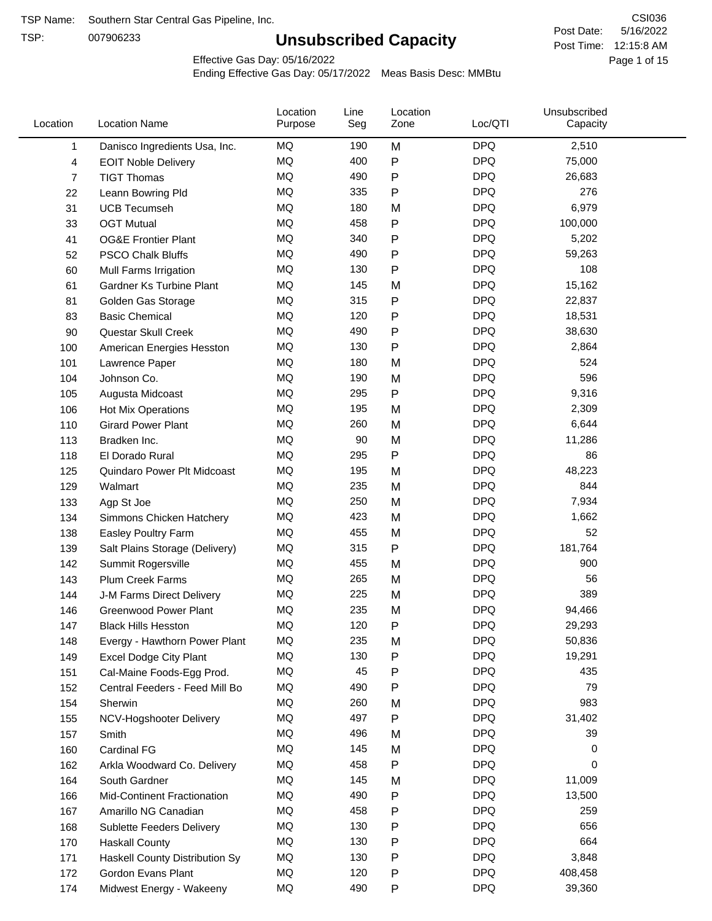TSP:

# **Unsubscribed Capacity**

5/16/2022 Page 1 of 15 Post Time: 12:15:8 AM CSI036 Post Date:

Effective Gas Day: 05/16/2022

| Location     | <b>Location Name</b>               | Location<br>Purpose | Line<br>Seg | Location<br>Zone | Loc/QTI    | Unsubscribed<br>Capacity |  |
|--------------|------------------------------------|---------------------|-------------|------------------|------------|--------------------------|--|
| $\mathbf{1}$ | Danisco Ingredients Usa, Inc.      | MQ                  | 190         | M                | <b>DPQ</b> | 2,510                    |  |
| 4            | <b>EOIT Noble Delivery</b>         | MQ                  | 400         | P                | <b>DPQ</b> | 75,000                   |  |
| 7            | <b>TIGT Thomas</b>                 | <b>MQ</b>           | 490         | P                | <b>DPQ</b> | 26,683                   |  |
| 22           | Leann Bowring Pld                  | <b>MQ</b>           | 335         | P                | <b>DPQ</b> | 276                      |  |
| 31           | <b>UCB Tecumseh</b>                | <b>MQ</b>           | 180         | M                | <b>DPQ</b> | 6,979                    |  |
| 33           | <b>OGT Mutual</b>                  | <b>MQ</b>           | 458         | P                | <b>DPQ</b> | 100,000                  |  |
| 41           | <b>OG&amp;E Frontier Plant</b>     | MQ                  | 340         | P                | <b>DPQ</b> | 5,202                    |  |
| 52           | <b>PSCO Chalk Bluffs</b>           | MQ                  | 490         | P                | <b>DPQ</b> | 59,263                   |  |
| 60           | Mull Farms Irrigation              | <b>MQ</b>           | 130         | P                | <b>DPQ</b> | 108                      |  |
| 61           | Gardner Ks Turbine Plant           | <b>MQ</b>           | 145         | M                | <b>DPQ</b> | 15,162                   |  |
| 81           | Golden Gas Storage                 | MQ                  | 315         | P                | <b>DPQ</b> | 22,837                   |  |
| 83           | <b>Basic Chemical</b>              | <b>MQ</b>           | 120         | P                | <b>DPQ</b> | 18,531                   |  |
| 90           | Questar Skull Creek                | MQ                  | 490         | P                | <b>DPQ</b> | 38,630                   |  |
| 100          | American Energies Hesston          | <b>MQ</b>           | 130         | P                | <b>DPQ</b> | 2,864                    |  |
| 101          | Lawrence Paper                     | <b>MQ</b>           | 180         | M                | <b>DPQ</b> | 524                      |  |
| 104          | Johnson Co.                        | MQ                  | 190         | M                | <b>DPQ</b> | 596                      |  |
| 105          | Augusta Midcoast                   | <b>MQ</b>           | 295         | P                | <b>DPQ</b> | 9,316                    |  |
| 106          | Hot Mix Operations                 | <b>MQ</b>           | 195         | M                | <b>DPQ</b> | 2,309                    |  |
| 110          | <b>Girard Power Plant</b>          | <b>MQ</b>           | 260         | M                | <b>DPQ</b> | 6,644                    |  |
| 113          | Bradken Inc.                       | MQ                  | 90          | M                | <b>DPQ</b> | 11,286                   |  |
| 118          | El Dorado Rural                    | MQ                  | 295         | P                | <b>DPQ</b> | 86                       |  |
| 125          | Quindaro Power Plt Midcoast        | <b>MQ</b>           | 195         | M                | <b>DPQ</b> | 48,223                   |  |
| 129          | Walmart                            | <b>MQ</b>           | 235         | M                | <b>DPQ</b> | 844                      |  |
| 133          | Agp St Joe                         | <b>MQ</b>           | 250         | M                | <b>DPQ</b> | 7,934                    |  |
| 134          | Simmons Chicken Hatchery           | <b>MQ</b>           | 423         | M                | <b>DPQ</b> | 1,662                    |  |
| 138          | Easley Poultry Farm                | MQ                  | 455         | M                | <b>DPQ</b> | 52                       |  |
| 139          | Salt Plains Storage (Delivery)     | MQ                  | 315         | P                | <b>DPQ</b> | 181,764                  |  |
| 142          | Summit Rogersville                 | MQ                  | 455         | M                | <b>DPQ</b> | 900                      |  |
| 143          | <b>Plum Creek Farms</b>            | MQ                  | 265         | M                | <b>DPQ</b> | 56                       |  |
| 144          | J-M Farms Direct Delivery          | MQ                  | 225         | M                | <b>DPQ</b> | 389                      |  |
| 146          | <b>Greenwood Power Plant</b>       | MQ                  | 235         | M                | <b>DPQ</b> | 94,466                   |  |
| 147          | <b>Black Hills Hesston</b>         | MQ                  | 120         | Ρ                | <b>DPQ</b> | 29,293                   |  |
| 148          | Evergy - Hawthorn Power Plant      | ΜQ                  | 235         | M                | <b>DPQ</b> | 50,836                   |  |
| 149          | <b>Excel Dodge City Plant</b>      | MQ                  | 130         | Ρ                | <b>DPQ</b> | 19,291                   |  |
| 151          | Cal-Maine Foods-Egg Prod.          | MQ                  | 45          | P                | <b>DPQ</b> | 435                      |  |
| 152          | Central Feeders - Feed Mill Bo     | MQ                  | 490         | P                | <b>DPQ</b> | 79                       |  |
| 154          | Sherwin                            | MQ                  | 260         | M                | <b>DPQ</b> | 983                      |  |
| 155          | NCV-Hogshooter Delivery            | MQ                  | 497         | P                | <b>DPQ</b> | 31,402                   |  |
| 157          | Smith                              | MQ                  | 496         | M                | <b>DPQ</b> | 39                       |  |
| 160          | Cardinal FG                        | MQ                  | 145         | M                | <b>DPQ</b> | 0                        |  |
| 162          | Arkla Woodward Co. Delivery        | MQ                  | 458         | P                | <b>DPQ</b> | 0                        |  |
| 164          | South Gardner                      | MQ                  | 145         | M                | <b>DPQ</b> | 11,009                   |  |
| 166          | <b>Mid-Continent Fractionation</b> | MQ                  | 490         | Ρ                | <b>DPQ</b> | 13,500                   |  |
| 167          | Amarillo NG Canadian               | MQ                  | 458         | Ρ                | <b>DPQ</b> | 259                      |  |
| 168          | <b>Sublette Feeders Delivery</b>   | MQ                  | 130         | Ρ                | <b>DPQ</b> | 656                      |  |
| 170          | <b>Haskall County</b>              | MQ                  | 130         | P                | <b>DPQ</b> | 664                      |  |
| 171          | Haskell County Distribution Sy     | MQ                  | 130         | Ρ                | <b>DPQ</b> | 3,848                    |  |
| 172          | Gordon Evans Plant                 | MQ                  | 120         | Ρ                | <b>DPQ</b> | 408,458                  |  |
| 174          | Midwest Energy - Wakeeny           | MQ                  | 490         | P                | <b>DPQ</b> | 39,360                   |  |
|              |                                    |                     |             |                  |            |                          |  |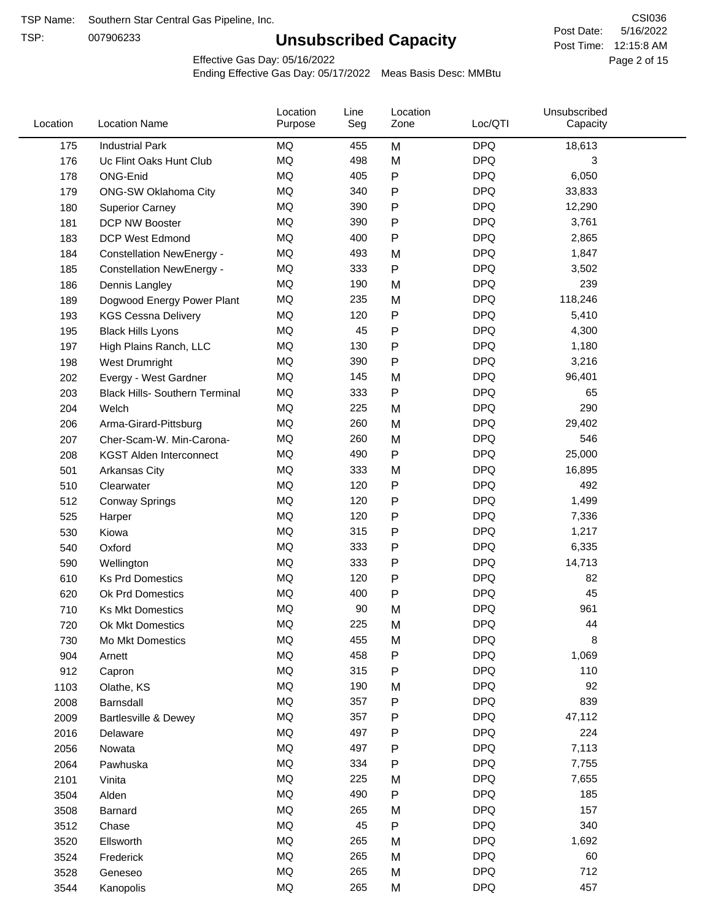TSP:

# **Unsubscribed Capacity**

5/16/2022 Page 2 of 15 Post Time: 12:15:8 AM CSI036 Post Date:

Effective Gas Day: 05/16/2022

| Location | <b>Location Name</b>                  | Location<br>Purpose | Line<br>Seg | Location<br>Zone | Loc/QTI    | Unsubscribed<br>Capacity |  |
|----------|---------------------------------------|---------------------|-------------|------------------|------------|--------------------------|--|
| 175      | <b>Industrial Park</b>                | MQ                  | 455         | M                | <b>DPQ</b> | 18,613                   |  |
| 176      | Uc Flint Oaks Hunt Club               | MQ                  | 498         | M                | <b>DPQ</b> | 3                        |  |
| 178      | ONG-Enid                              | MQ                  | 405         | P                | <b>DPQ</b> | 6,050                    |  |
| 179      | ONG-SW Oklahoma City                  | MQ                  | 340         | P                | <b>DPQ</b> | 33,833                   |  |
| 180      | <b>Superior Carney</b>                | MQ                  | 390         | P                | <b>DPQ</b> | 12,290                   |  |
| 181      | DCP NW Booster                        | <b>MQ</b>           | 390         | P                | <b>DPQ</b> | 3,761                    |  |
| 183      | <b>DCP West Edmond</b>                | MQ                  | 400         | P                | <b>DPQ</b> | 2,865                    |  |
| 184      | <b>Constellation NewEnergy -</b>      | MQ                  | 493         | M                | <b>DPQ</b> | 1,847                    |  |
| 185      | <b>Constellation NewEnergy -</b>      | MQ                  | 333         | P                | <b>DPQ</b> | 3,502                    |  |
| 186      | Dennis Langley                        | MQ                  | 190         | M                | <b>DPQ</b> | 239                      |  |
| 189      | Dogwood Energy Power Plant            | MQ                  | 235         | M                | <b>DPQ</b> | 118,246                  |  |
| 193      | <b>KGS Cessna Delivery</b>            | MQ                  | 120         | P                | <b>DPQ</b> | 5,410                    |  |
| 195      | <b>Black Hills Lyons</b>              | <b>MQ</b>           | 45          | P                | <b>DPQ</b> | 4,300                    |  |
| 197      | High Plains Ranch, LLC                | <b>MQ</b>           | 130         | P                | <b>DPQ</b> | 1,180                    |  |
| 198      | West Drumright                        | <b>MQ</b>           | 390         | P                | <b>DPQ</b> | 3,216                    |  |
| 202      | Evergy - West Gardner                 | <b>MQ</b>           | 145         | M                | <b>DPQ</b> | 96,401                   |  |
| 203      | <b>Black Hills- Southern Terminal</b> | <b>MQ</b>           | 333         | P                | <b>DPQ</b> | 65                       |  |
| 204      | Welch                                 | MQ                  | 225         | M                | <b>DPQ</b> | 290                      |  |
| 206      | Arma-Girard-Pittsburg                 | <b>MQ</b>           | 260         | M                | <b>DPQ</b> | 29,402                   |  |
| 207      | Cher-Scam-W. Min-Carona-              | MQ                  | 260         | M                | <b>DPQ</b> | 546                      |  |
| 208      | <b>KGST Alden Interconnect</b>        | MQ                  | 490         | P                | <b>DPQ</b> | 25,000                   |  |
| 501      | Arkansas City                         | <b>MQ</b>           | 333         | M                | <b>DPQ</b> | 16,895                   |  |
| 510      | Clearwater                            | <b>MQ</b>           | 120         | P                | <b>DPQ</b> | 492                      |  |
| 512      | <b>Conway Springs</b>                 | MQ                  | 120         | P                | <b>DPQ</b> | 1,499                    |  |
| 525      | Harper                                | <b>MQ</b>           | 120         | P                | <b>DPQ</b> | 7,336                    |  |
| 530      | Kiowa                                 | <b>MQ</b>           | 315         | P                | <b>DPQ</b> | 1,217                    |  |
| 540      | Oxford                                | MQ                  | 333         | P                | <b>DPQ</b> | 6,335                    |  |
| 590      | Wellington                            | <b>MQ</b>           | 333         | P                | <b>DPQ</b> | 14,713                   |  |
| 610      | <b>Ks Prd Domestics</b>               | MQ                  | 120         | P                | <b>DPQ</b> | 82                       |  |
| 620      | Ok Prd Domestics                      | MQ                  | 400         | P                | <b>DPQ</b> | 45                       |  |
| 710      | <b>Ks Mkt Domestics</b>               | <b>MQ</b>           | 90          | M                | <b>DPQ</b> | 961                      |  |
| 720      | Ok Mkt Domestics                      | MQ                  | 225         | M                | <b>DPQ</b> | 44                       |  |
| 730      | Mo Mkt Domestics                      | MQ                  | 455         | M                | <b>DPQ</b> | 8                        |  |
| 904      | Arnett                                | MQ                  | 458         | P                | <b>DPQ</b> | 1,069                    |  |
| 912      | Capron                                | <b>MQ</b>           | 315         | P                | <b>DPQ</b> | 110                      |  |
| 1103     | Olathe, KS                            | MQ                  | 190         | M                | <b>DPQ</b> | 92                       |  |
| 2008     | Barnsdall                             | MQ                  | 357         | Ρ                | <b>DPQ</b> | 839                      |  |
| 2009     | Bartlesville & Dewey                  | MQ                  | 357         | P                | <b>DPQ</b> | 47,112                   |  |
| 2016     | Delaware                              | MQ                  | 497         | P                | <b>DPQ</b> | 224                      |  |
| 2056     | Nowata                                | MQ                  | 497         | Ρ                | <b>DPQ</b> | 7,113                    |  |
| 2064     | Pawhuska                              | MQ                  | 334         | Ρ                | <b>DPQ</b> | 7,755                    |  |
| 2101     | Vinita                                | MQ                  | 225         | M                | <b>DPQ</b> | 7,655                    |  |
| 3504     | Alden                                 | MQ                  | 490         | Ρ                | <b>DPQ</b> | 185                      |  |
| 3508     | Barnard                               | MQ                  | 265         | M                | <b>DPQ</b> | 157                      |  |
| 3512     | Chase                                 | <b>MQ</b>           | 45          | P                | <b>DPQ</b> | 340                      |  |
| 3520     | Ellsworth                             | MQ                  | 265         | M                | <b>DPQ</b> | 1,692                    |  |
| 3524     | Frederick                             | MQ                  | 265         | M                | <b>DPQ</b> | 60                       |  |
| 3528     | Geneseo                               | MQ                  | 265         | M                | <b>DPQ</b> | 712                      |  |
| 3544     | Kanopolis                             | $\sf{MQ}$           | 265         | M                | <b>DPQ</b> | 457                      |  |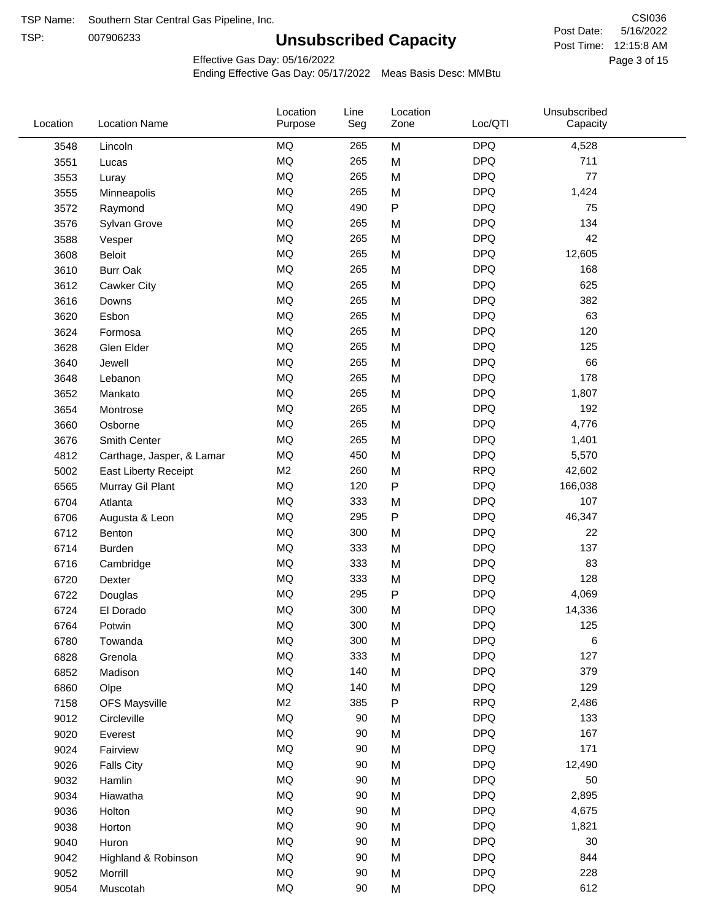TSP: 

# **Unsubscribed Capacity**

5/16/2022 Page 3 of 15 Post Time: 12:15:8 AM CSI036 Post Date:

Effective Gas Day: 05/16/2022

| Location | <b>Location Name</b>      | Location<br>Purpose | Line<br>Seg | Location<br>Zone | Loc/QTI    | Unsubscribed<br>Capacity |  |
|----------|---------------------------|---------------------|-------------|------------------|------------|--------------------------|--|
| 3548     | Lincoln                   | <b>MQ</b>           | 265         | M                | <b>DPQ</b> | 4,528                    |  |
| 3551     | Lucas                     | MQ                  | 265         | M                | <b>DPQ</b> | 711                      |  |
| 3553     | Luray                     | <b>MQ</b>           | 265         | M                | <b>DPQ</b> | 77                       |  |
| 3555     | Minneapolis               | <b>MQ</b>           | 265         | M                | <b>DPQ</b> | 1,424                    |  |
| 3572     | Raymond                   | <b>MQ</b>           | 490         | $\sf P$          | <b>DPQ</b> | 75                       |  |
| 3576     | Sylvan Grove              | <b>MQ</b>           | 265         | M                | <b>DPQ</b> | 134                      |  |
| 3588     | Vesper                    | MQ                  | 265         | M                | <b>DPQ</b> | 42                       |  |
| 3608     | <b>Beloit</b>             | <b>MQ</b>           | 265         | M                | <b>DPQ</b> | 12,605                   |  |
| 3610     | <b>Burr Oak</b>           | <b>MQ</b>           | 265         | M                | <b>DPQ</b> | 168                      |  |
| 3612     | Cawker City               | <b>MQ</b>           | 265         | M                | <b>DPQ</b> | 625                      |  |
| 3616     | Downs                     | MQ                  | 265         | M                | <b>DPQ</b> | 382                      |  |
| 3620     | Esbon                     | MQ                  | 265         | M                | <b>DPQ</b> | 63                       |  |
| 3624     | Formosa                   | <b>MQ</b>           | 265         | M                | <b>DPQ</b> | 120                      |  |
| 3628     | Glen Elder                | <b>MQ</b>           | 265         | M                | <b>DPQ</b> | 125                      |  |
| 3640     | Jewell                    | <b>MQ</b>           | 265         | M                | <b>DPQ</b> | 66                       |  |
| 3648     | Lebanon                   | MQ                  | 265         | M                | <b>DPQ</b> | 178                      |  |
| 3652     | Mankato                   | <b>MQ</b>           | 265         | M                | <b>DPQ</b> | 1,807                    |  |
| 3654     | Montrose                  | <b>MQ</b>           | 265         | M                | <b>DPQ</b> | 192                      |  |
| 3660     | Osborne                   | <b>MQ</b>           | 265         | M                | <b>DPQ</b> | 4,776                    |  |
| 3676     | Smith Center              | MQ                  | 265         | M                | <b>DPQ</b> | 1,401                    |  |
| 4812     | Carthage, Jasper, & Lamar | MQ                  | 450         | M                | <b>DPQ</b> | 5,570                    |  |
| 5002     | East Liberty Receipt      | M <sub>2</sub>      | 260         | M                | <b>RPQ</b> | 42,602                   |  |
| 6565     | Murray Gil Plant          | MQ                  | 120         | $\mathsf{P}$     | <b>DPQ</b> | 166,038                  |  |
| 6704     | Atlanta                   | <b>MQ</b>           | 333         | M                | <b>DPQ</b> | 107                      |  |
| 6706     | Augusta & Leon            | MQ                  | 295         | ${\sf P}$        | <b>DPQ</b> | 46,347                   |  |
| 6712     | Benton                    | <b>MQ</b>           | 300         | M                | <b>DPQ</b> | 22                       |  |
| 6714     | Burden                    | <b>MQ</b>           | 333         | M                | <b>DPQ</b> | 137                      |  |
| 6716     | Cambridge                 | MQ                  | 333         | M                | <b>DPQ</b> | 83                       |  |
| 6720     | Dexter                    | <b>MQ</b>           | 333         | M                | <b>DPQ</b> | 128                      |  |
| 6722     | Douglas                   | <b>MQ</b>           | 295         | ${\sf P}$        | <b>DPQ</b> | 4,069                    |  |
| 6724     | El Dorado                 | <b>MQ</b>           | 300         | M                | <b>DPQ</b> | 14,336                   |  |
| 6764     | Potwin                    | <b>MQ</b>           | 300         | M                | <b>DPQ</b> | 125                      |  |
| 6780     | Towanda                   | MQ                  | 300         | M                | <b>DPQ</b> | 6                        |  |
| 6828     | Grenola                   | MQ                  | 333         | M                | <b>DPQ</b> | 127                      |  |
| 6852     | Madison                   | MQ                  | 140         | M                | <b>DPQ</b> | 379                      |  |
| 6860     | Olpe                      | MQ                  | 140         | M                | <b>DPQ</b> | 129                      |  |
| 7158     | <b>OFS Maysville</b>      | M <sub>2</sub>      | 385         | ${\sf P}$        | <b>RPQ</b> | 2,486                    |  |
| 9012     | Circleville               | MQ                  | 90          | M                | <b>DPQ</b> | 133                      |  |
| 9020     | Everest                   | MQ                  | 90          | M                | <b>DPQ</b> | 167                      |  |
| 9024     | Fairview                  | MQ                  | 90          | M                | <b>DPQ</b> | 171                      |  |
| 9026     | <b>Falls City</b>         | MQ                  | 90          | M                | <b>DPQ</b> | 12,490                   |  |
| 9032     | Hamlin                    | MQ                  | 90          | M                | <b>DPQ</b> | 50                       |  |
| 9034     | Hiawatha                  | MQ                  | 90          | M                | <b>DPQ</b> | 2,895                    |  |
| 9036     | Holton                    | <b>MQ</b>           | $90\,$      | M                | <b>DPQ</b> | 4,675                    |  |
| 9038     | Horton                    | <b>MQ</b>           | $90\,$      | M                | <b>DPQ</b> | 1,821                    |  |
| 9040     | Huron                     | MQ                  | 90          | M                | <b>DPQ</b> | 30                       |  |
| 9042     | Highland & Robinson       | MQ                  | 90          | M                | <b>DPQ</b> | 844                      |  |
| 9052     | Morrill                   | $\sf{MQ}$           | 90          | M                | <b>DPQ</b> | 228                      |  |
| 9054     | Muscotah                  | $\sf{MQ}$           | 90          | M                | DPQ        | 612                      |  |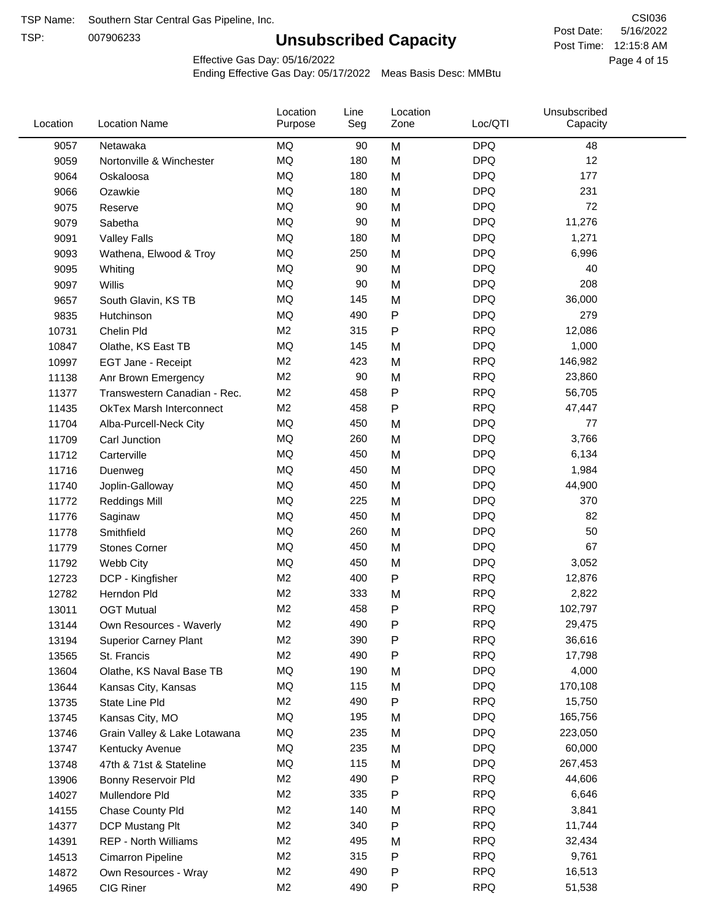TSP:

# **Unsubscribed Capacity**

5/16/2022 Page 4 of 15 Post Time: 12:15:8 AM CSI036 Post Date:

Effective Gas Day: 05/16/2022

| <b>MQ</b><br><b>DPQ</b><br>9057<br>Netawaka<br>90<br>M<br>48<br><b>MQ</b><br><b>DPQ</b><br>12<br>180<br>M<br>9059<br>Nortonville & Winchester<br><b>DPQ</b><br>MQ<br>180<br>M<br>177<br>9064<br>Oskaloosa<br><b>MQ</b><br><b>DPQ</b><br>231<br>180<br>M<br>9066<br>Ozawkie<br><b>MQ</b><br><b>DPQ</b><br>72<br>90<br>M<br>9075<br>Reserve<br><b>MQ</b><br><b>DPQ</b><br>90<br>11,276<br>Sabetha<br>M<br>9079<br><b>MQ</b><br><b>DPQ</b><br>1,271<br>180<br>M<br>9091<br><b>Valley Falls</b><br><b>MQ</b><br><b>DPQ</b><br>250<br>6,996<br>M<br>9093<br>Wathena, Elwood & Troy<br>MQ<br>90<br><b>DPQ</b><br>40<br>M<br>9095<br>Whiting<br><b>MQ</b><br><b>DPQ</b><br>208<br>90<br>M<br>9097<br>Willis<br><b>MQ</b><br><b>DPQ</b><br>36,000<br>145<br>M<br>9657<br>South Glavin, KS TB<br>P<br><b>DPQ</b><br>MQ<br>490<br>279<br>9835<br>Hutchinson<br>M <sub>2</sub><br><b>RPQ</b><br>12,086<br>315<br>P<br>10731<br>Chelin Pld<br><b>MQ</b><br><b>DPQ</b><br>145<br>1,000<br>10847<br>M<br>Olathe, KS East TB<br>M <sub>2</sub><br><b>RPQ</b><br>423<br>146,982<br>M<br>10997<br>EGT Jane - Receipt<br>M <sub>2</sub><br><b>RPQ</b><br>90<br>M<br>23,860<br>11138<br>Anr Brown Emergency<br><b>RPQ</b><br>M <sub>2</sub><br>458<br>P<br>56,705<br>11377<br>Transwestern Canadian - Rec.<br><b>RPQ</b><br>M <sub>2</sub><br>458<br>Ρ<br>11435<br>47,447<br><b>OkTex Marsh Interconnect</b><br><b>MQ</b><br><b>DPQ</b><br>450<br>77<br>11704<br>Alba-Purcell-Neck City<br>M<br><b>MQ</b><br><b>DPQ</b><br>260<br>M<br>3,766<br>11709<br>Carl Junction<br><b>MQ</b><br><b>DPQ</b><br>450<br>6,134<br>M<br>11712<br>Carterville<br><b>MQ</b><br><b>DPQ</b><br>450<br>M<br>1,984<br>11716<br>Duenweg<br><b>MQ</b><br><b>DPQ</b><br>450<br>M<br>44,900<br>11740<br>Joplin-Galloway<br><b>MQ</b><br><b>DPQ</b><br>225<br>370<br>M<br>11772<br><b>Reddings Mill</b><br><b>MQ</b><br><b>DPQ</b><br>450<br>M<br>82<br>11776<br>Saginaw<br><b>MQ</b><br><b>DPQ</b><br>50<br>260<br>M<br>11778<br>Smithfield<br><b>MQ</b><br><b>DPQ</b><br>67<br>450<br>M<br>11779<br><b>Stones Corner</b><br><b>MQ</b><br><b>DPQ</b><br>450<br>3,052<br>11792<br>Webb City<br>M<br>M <sub>2</sub><br>P<br><b>RPQ</b><br>400<br>12,876<br>12723<br>DCP - Kingfisher<br><b>RPQ</b><br>M <sub>2</sub><br>333<br>2,822<br>12782<br>M<br>Herndon Pld<br>M <sub>2</sub><br>458<br>Ρ<br><b>RPQ</b><br>102,797<br>13011<br><b>OGT Mutual</b><br>490<br>P<br><b>RPQ</b><br>M <sub>2</sub><br>29,475<br>13144<br>Own Resources - Waverly<br>M <sub>2</sub><br>390<br>P<br><b>RPQ</b><br>36,616<br>13194<br><b>Superior Carney Plant</b><br><b>RPQ</b><br>M <sub>2</sub><br>490<br>Ρ<br>17,798<br>13565<br>St. Francis<br>MQ<br><b>DPQ</b><br>4,000<br>190<br>M<br>13604<br>Olathe, KS Naval Base TB<br>MQ<br>115<br><b>DPQ</b><br>170,108<br>13644<br>M<br>Kansas City, Kansas<br><b>RPQ</b><br>M <sub>2</sub><br>490<br>P<br>15,750<br>13735<br>State Line Pld<br><b>MQ</b><br><b>DPQ</b><br>195<br>165,756<br>M<br>13745<br>Kansas City, MO<br>MQ<br>235<br><b>DPQ</b><br>223,050<br>13746<br>M<br>Grain Valley & Lake Lotawana<br>MQ<br>235<br><b>DPQ</b><br>60,000<br>13747<br>Kentucky Avenue<br>M<br>115<br><b>DPQ</b><br>MQ<br>267,453<br>13748<br>47th & 71st & Stateline<br>M<br><b>RPQ</b><br>M <sub>2</sub><br>490<br>Ρ<br>44,606<br>13906<br>Bonny Reservoir Pld<br>M <sub>2</sub><br>335<br><b>RPQ</b><br>6,646<br>P<br>14027<br>Mullendore Pld<br>M <sub>2</sub><br><b>RPQ</b><br>3,841<br>140<br>M<br>14155<br>Chase County Pld<br>M <sub>2</sub><br>340<br><b>RPQ</b><br>11,744<br>Ρ<br>14377<br>DCP Mustang Plt<br>M <sub>2</sub><br>495<br><b>RPQ</b><br>32,434<br>14391<br><b>REP - North Williams</b><br>M<br><b>RPQ</b><br>M <sub>2</sub><br>315<br>9,761<br>P<br>14513<br>Cimarron Pipeline<br>M <sub>2</sub><br>490<br>P<br><b>RPQ</b><br>16,513<br>14872<br>Own Resources - Wray<br>M <sub>2</sub><br><b>RPQ</b><br>CIG Riner<br>490<br>Ρ<br>51,538<br>14965 | Location | <b>Location Name</b> | Location<br>Purpose | Line<br>Seg | Location<br>Zone | Loc/QTI | Unsubscribed<br>Capacity |  |
|-------------------------------------------------------------------------------------------------------------------------------------------------------------------------------------------------------------------------------------------------------------------------------------------------------------------------------------------------------------------------------------------------------------------------------------------------------------------------------------------------------------------------------------------------------------------------------------------------------------------------------------------------------------------------------------------------------------------------------------------------------------------------------------------------------------------------------------------------------------------------------------------------------------------------------------------------------------------------------------------------------------------------------------------------------------------------------------------------------------------------------------------------------------------------------------------------------------------------------------------------------------------------------------------------------------------------------------------------------------------------------------------------------------------------------------------------------------------------------------------------------------------------------------------------------------------------------------------------------------------------------------------------------------------------------------------------------------------------------------------------------------------------------------------------------------------------------------------------------------------------------------------------------------------------------------------------------------------------------------------------------------------------------------------------------------------------------------------------------------------------------------------------------------------------------------------------------------------------------------------------------------------------------------------------------------------------------------------------------------------------------------------------------------------------------------------------------------------------------------------------------------------------------------------------------------------------------------------------------------------------------------------------------------------------------------------------------------------------------------------------------------------------------------------------------------------------------------------------------------------------------------------------------------------------------------------------------------------------------------------------------------------------------------------------------------------------------------------------------------------------------------------------------------------------------------------------------------------------------------------------------------------------------------------------------------------------------------------------------------------------------------------------------------------------------------------------------------------------------------------------------------------------------------------------------------------------------------------------------------------------------------------------------------------------------------------------------------------------------------------------------------------------------------------------------------------------------------------------------------------------------------------------------------------------------------------------|----------|----------------------|---------------------|-------------|------------------|---------|--------------------------|--|
|                                                                                                                                                                                                                                                                                                                                                                                                                                                                                                                                                                                                                                                                                                                                                                                                                                                                                                                                                                                                                                                                                                                                                                                                                                                                                                                                                                                                                                                                                                                                                                                                                                                                                                                                                                                                                                                                                                                                                                                                                                                                                                                                                                                                                                                                                                                                                                                                                                                                                                                                                                                                                                                                                                                                                                                                                                                                                                                                                                                                                                                                                                                                                                                                                                                                                                                                                                                                                                                                                                                                                                                                                                                                                                                                                                                                                                                                                                                                                 |          |                      |                     |             |                  |         |                          |  |
|                                                                                                                                                                                                                                                                                                                                                                                                                                                                                                                                                                                                                                                                                                                                                                                                                                                                                                                                                                                                                                                                                                                                                                                                                                                                                                                                                                                                                                                                                                                                                                                                                                                                                                                                                                                                                                                                                                                                                                                                                                                                                                                                                                                                                                                                                                                                                                                                                                                                                                                                                                                                                                                                                                                                                                                                                                                                                                                                                                                                                                                                                                                                                                                                                                                                                                                                                                                                                                                                                                                                                                                                                                                                                                                                                                                                                                                                                                                                                 |          |                      |                     |             |                  |         |                          |  |
|                                                                                                                                                                                                                                                                                                                                                                                                                                                                                                                                                                                                                                                                                                                                                                                                                                                                                                                                                                                                                                                                                                                                                                                                                                                                                                                                                                                                                                                                                                                                                                                                                                                                                                                                                                                                                                                                                                                                                                                                                                                                                                                                                                                                                                                                                                                                                                                                                                                                                                                                                                                                                                                                                                                                                                                                                                                                                                                                                                                                                                                                                                                                                                                                                                                                                                                                                                                                                                                                                                                                                                                                                                                                                                                                                                                                                                                                                                                                                 |          |                      |                     |             |                  |         |                          |  |
|                                                                                                                                                                                                                                                                                                                                                                                                                                                                                                                                                                                                                                                                                                                                                                                                                                                                                                                                                                                                                                                                                                                                                                                                                                                                                                                                                                                                                                                                                                                                                                                                                                                                                                                                                                                                                                                                                                                                                                                                                                                                                                                                                                                                                                                                                                                                                                                                                                                                                                                                                                                                                                                                                                                                                                                                                                                                                                                                                                                                                                                                                                                                                                                                                                                                                                                                                                                                                                                                                                                                                                                                                                                                                                                                                                                                                                                                                                                                                 |          |                      |                     |             |                  |         |                          |  |
|                                                                                                                                                                                                                                                                                                                                                                                                                                                                                                                                                                                                                                                                                                                                                                                                                                                                                                                                                                                                                                                                                                                                                                                                                                                                                                                                                                                                                                                                                                                                                                                                                                                                                                                                                                                                                                                                                                                                                                                                                                                                                                                                                                                                                                                                                                                                                                                                                                                                                                                                                                                                                                                                                                                                                                                                                                                                                                                                                                                                                                                                                                                                                                                                                                                                                                                                                                                                                                                                                                                                                                                                                                                                                                                                                                                                                                                                                                                                                 |          |                      |                     |             |                  |         |                          |  |
|                                                                                                                                                                                                                                                                                                                                                                                                                                                                                                                                                                                                                                                                                                                                                                                                                                                                                                                                                                                                                                                                                                                                                                                                                                                                                                                                                                                                                                                                                                                                                                                                                                                                                                                                                                                                                                                                                                                                                                                                                                                                                                                                                                                                                                                                                                                                                                                                                                                                                                                                                                                                                                                                                                                                                                                                                                                                                                                                                                                                                                                                                                                                                                                                                                                                                                                                                                                                                                                                                                                                                                                                                                                                                                                                                                                                                                                                                                                                                 |          |                      |                     |             |                  |         |                          |  |
|                                                                                                                                                                                                                                                                                                                                                                                                                                                                                                                                                                                                                                                                                                                                                                                                                                                                                                                                                                                                                                                                                                                                                                                                                                                                                                                                                                                                                                                                                                                                                                                                                                                                                                                                                                                                                                                                                                                                                                                                                                                                                                                                                                                                                                                                                                                                                                                                                                                                                                                                                                                                                                                                                                                                                                                                                                                                                                                                                                                                                                                                                                                                                                                                                                                                                                                                                                                                                                                                                                                                                                                                                                                                                                                                                                                                                                                                                                                                                 |          |                      |                     |             |                  |         |                          |  |
|                                                                                                                                                                                                                                                                                                                                                                                                                                                                                                                                                                                                                                                                                                                                                                                                                                                                                                                                                                                                                                                                                                                                                                                                                                                                                                                                                                                                                                                                                                                                                                                                                                                                                                                                                                                                                                                                                                                                                                                                                                                                                                                                                                                                                                                                                                                                                                                                                                                                                                                                                                                                                                                                                                                                                                                                                                                                                                                                                                                                                                                                                                                                                                                                                                                                                                                                                                                                                                                                                                                                                                                                                                                                                                                                                                                                                                                                                                                                                 |          |                      |                     |             |                  |         |                          |  |
|                                                                                                                                                                                                                                                                                                                                                                                                                                                                                                                                                                                                                                                                                                                                                                                                                                                                                                                                                                                                                                                                                                                                                                                                                                                                                                                                                                                                                                                                                                                                                                                                                                                                                                                                                                                                                                                                                                                                                                                                                                                                                                                                                                                                                                                                                                                                                                                                                                                                                                                                                                                                                                                                                                                                                                                                                                                                                                                                                                                                                                                                                                                                                                                                                                                                                                                                                                                                                                                                                                                                                                                                                                                                                                                                                                                                                                                                                                                                                 |          |                      |                     |             |                  |         |                          |  |
|                                                                                                                                                                                                                                                                                                                                                                                                                                                                                                                                                                                                                                                                                                                                                                                                                                                                                                                                                                                                                                                                                                                                                                                                                                                                                                                                                                                                                                                                                                                                                                                                                                                                                                                                                                                                                                                                                                                                                                                                                                                                                                                                                                                                                                                                                                                                                                                                                                                                                                                                                                                                                                                                                                                                                                                                                                                                                                                                                                                                                                                                                                                                                                                                                                                                                                                                                                                                                                                                                                                                                                                                                                                                                                                                                                                                                                                                                                                                                 |          |                      |                     |             |                  |         |                          |  |
|                                                                                                                                                                                                                                                                                                                                                                                                                                                                                                                                                                                                                                                                                                                                                                                                                                                                                                                                                                                                                                                                                                                                                                                                                                                                                                                                                                                                                                                                                                                                                                                                                                                                                                                                                                                                                                                                                                                                                                                                                                                                                                                                                                                                                                                                                                                                                                                                                                                                                                                                                                                                                                                                                                                                                                                                                                                                                                                                                                                                                                                                                                                                                                                                                                                                                                                                                                                                                                                                                                                                                                                                                                                                                                                                                                                                                                                                                                                                                 |          |                      |                     |             |                  |         |                          |  |
|                                                                                                                                                                                                                                                                                                                                                                                                                                                                                                                                                                                                                                                                                                                                                                                                                                                                                                                                                                                                                                                                                                                                                                                                                                                                                                                                                                                                                                                                                                                                                                                                                                                                                                                                                                                                                                                                                                                                                                                                                                                                                                                                                                                                                                                                                                                                                                                                                                                                                                                                                                                                                                                                                                                                                                                                                                                                                                                                                                                                                                                                                                                                                                                                                                                                                                                                                                                                                                                                                                                                                                                                                                                                                                                                                                                                                                                                                                                                                 |          |                      |                     |             |                  |         |                          |  |
|                                                                                                                                                                                                                                                                                                                                                                                                                                                                                                                                                                                                                                                                                                                                                                                                                                                                                                                                                                                                                                                                                                                                                                                                                                                                                                                                                                                                                                                                                                                                                                                                                                                                                                                                                                                                                                                                                                                                                                                                                                                                                                                                                                                                                                                                                                                                                                                                                                                                                                                                                                                                                                                                                                                                                                                                                                                                                                                                                                                                                                                                                                                                                                                                                                                                                                                                                                                                                                                                                                                                                                                                                                                                                                                                                                                                                                                                                                                                                 |          |                      |                     |             |                  |         |                          |  |
|                                                                                                                                                                                                                                                                                                                                                                                                                                                                                                                                                                                                                                                                                                                                                                                                                                                                                                                                                                                                                                                                                                                                                                                                                                                                                                                                                                                                                                                                                                                                                                                                                                                                                                                                                                                                                                                                                                                                                                                                                                                                                                                                                                                                                                                                                                                                                                                                                                                                                                                                                                                                                                                                                                                                                                                                                                                                                                                                                                                                                                                                                                                                                                                                                                                                                                                                                                                                                                                                                                                                                                                                                                                                                                                                                                                                                                                                                                                                                 |          |                      |                     |             |                  |         |                          |  |
|                                                                                                                                                                                                                                                                                                                                                                                                                                                                                                                                                                                                                                                                                                                                                                                                                                                                                                                                                                                                                                                                                                                                                                                                                                                                                                                                                                                                                                                                                                                                                                                                                                                                                                                                                                                                                                                                                                                                                                                                                                                                                                                                                                                                                                                                                                                                                                                                                                                                                                                                                                                                                                                                                                                                                                                                                                                                                                                                                                                                                                                                                                                                                                                                                                                                                                                                                                                                                                                                                                                                                                                                                                                                                                                                                                                                                                                                                                                                                 |          |                      |                     |             |                  |         |                          |  |
|                                                                                                                                                                                                                                                                                                                                                                                                                                                                                                                                                                                                                                                                                                                                                                                                                                                                                                                                                                                                                                                                                                                                                                                                                                                                                                                                                                                                                                                                                                                                                                                                                                                                                                                                                                                                                                                                                                                                                                                                                                                                                                                                                                                                                                                                                                                                                                                                                                                                                                                                                                                                                                                                                                                                                                                                                                                                                                                                                                                                                                                                                                                                                                                                                                                                                                                                                                                                                                                                                                                                                                                                                                                                                                                                                                                                                                                                                                                                                 |          |                      |                     |             |                  |         |                          |  |
|                                                                                                                                                                                                                                                                                                                                                                                                                                                                                                                                                                                                                                                                                                                                                                                                                                                                                                                                                                                                                                                                                                                                                                                                                                                                                                                                                                                                                                                                                                                                                                                                                                                                                                                                                                                                                                                                                                                                                                                                                                                                                                                                                                                                                                                                                                                                                                                                                                                                                                                                                                                                                                                                                                                                                                                                                                                                                                                                                                                                                                                                                                                                                                                                                                                                                                                                                                                                                                                                                                                                                                                                                                                                                                                                                                                                                                                                                                                                                 |          |                      |                     |             |                  |         |                          |  |
|                                                                                                                                                                                                                                                                                                                                                                                                                                                                                                                                                                                                                                                                                                                                                                                                                                                                                                                                                                                                                                                                                                                                                                                                                                                                                                                                                                                                                                                                                                                                                                                                                                                                                                                                                                                                                                                                                                                                                                                                                                                                                                                                                                                                                                                                                                                                                                                                                                                                                                                                                                                                                                                                                                                                                                                                                                                                                                                                                                                                                                                                                                                                                                                                                                                                                                                                                                                                                                                                                                                                                                                                                                                                                                                                                                                                                                                                                                                                                 |          |                      |                     |             |                  |         |                          |  |
|                                                                                                                                                                                                                                                                                                                                                                                                                                                                                                                                                                                                                                                                                                                                                                                                                                                                                                                                                                                                                                                                                                                                                                                                                                                                                                                                                                                                                                                                                                                                                                                                                                                                                                                                                                                                                                                                                                                                                                                                                                                                                                                                                                                                                                                                                                                                                                                                                                                                                                                                                                                                                                                                                                                                                                                                                                                                                                                                                                                                                                                                                                                                                                                                                                                                                                                                                                                                                                                                                                                                                                                                                                                                                                                                                                                                                                                                                                                                                 |          |                      |                     |             |                  |         |                          |  |
|                                                                                                                                                                                                                                                                                                                                                                                                                                                                                                                                                                                                                                                                                                                                                                                                                                                                                                                                                                                                                                                                                                                                                                                                                                                                                                                                                                                                                                                                                                                                                                                                                                                                                                                                                                                                                                                                                                                                                                                                                                                                                                                                                                                                                                                                                                                                                                                                                                                                                                                                                                                                                                                                                                                                                                                                                                                                                                                                                                                                                                                                                                                                                                                                                                                                                                                                                                                                                                                                                                                                                                                                                                                                                                                                                                                                                                                                                                                                                 |          |                      |                     |             |                  |         |                          |  |
|                                                                                                                                                                                                                                                                                                                                                                                                                                                                                                                                                                                                                                                                                                                                                                                                                                                                                                                                                                                                                                                                                                                                                                                                                                                                                                                                                                                                                                                                                                                                                                                                                                                                                                                                                                                                                                                                                                                                                                                                                                                                                                                                                                                                                                                                                                                                                                                                                                                                                                                                                                                                                                                                                                                                                                                                                                                                                                                                                                                                                                                                                                                                                                                                                                                                                                                                                                                                                                                                                                                                                                                                                                                                                                                                                                                                                                                                                                                                                 |          |                      |                     |             |                  |         |                          |  |
|                                                                                                                                                                                                                                                                                                                                                                                                                                                                                                                                                                                                                                                                                                                                                                                                                                                                                                                                                                                                                                                                                                                                                                                                                                                                                                                                                                                                                                                                                                                                                                                                                                                                                                                                                                                                                                                                                                                                                                                                                                                                                                                                                                                                                                                                                                                                                                                                                                                                                                                                                                                                                                                                                                                                                                                                                                                                                                                                                                                                                                                                                                                                                                                                                                                                                                                                                                                                                                                                                                                                                                                                                                                                                                                                                                                                                                                                                                                                                 |          |                      |                     |             |                  |         |                          |  |
|                                                                                                                                                                                                                                                                                                                                                                                                                                                                                                                                                                                                                                                                                                                                                                                                                                                                                                                                                                                                                                                                                                                                                                                                                                                                                                                                                                                                                                                                                                                                                                                                                                                                                                                                                                                                                                                                                                                                                                                                                                                                                                                                                                                                                                                                                                                                                                                                                                                                                                                                                                                                                                                                                                                                                                                                                                                                                                                                                                                                                                                                                                                                                                                                                                                                                                                                                                                                                                                                                                                                                                                                                                                                                                                                                                                                                                                                                                                                                 |          |                      |                     |             |                  |         |                          |  |
|                                                                                                                                                                                                                                                                                                                                                                                                                                                                                                                                                                                                                                                                                                                                                                                                                                                                                                                                                                                                                                                                                                                                                                                                                                                                                                                                                                                                                                                                                                                                                                                                                                                                                                                                                                                                                                                                                                                                                                                                                                                                                                                                                                                                                                                                                                                                                                                                                                                                                                                                                                                                                                                                                                                                                                                                                                                                                                                                                                                                                                                                                                                                                                                                                                                                                                                                                                                                                                                                                                                                                                                                                                                                                                                                                                                                                                                                                                                                                 |          |                      |                     |             |                  |         |                          |  |
|                                                                                                                                                                                                                                                                                                                                                                                                                                                                                                                                                                                                                                                                                                                                                                                                                                                                                                                                                                                                                                                                                                                                                                                                                                                                                                                                                                                                                                                                                                                                                                                                                                                                                                                                                                                                                                                                                                                                                                                                                                                                                                                                                                                                                                                                                                                                                                                                                                                                                                                                                                                                                                                                                                                                                                                                                                                                                                                                                                                                                                                                                                                                                                                                                                                                                                                                                                                                                                                                                                                                                                                                                                                                                                                                                                                                                                                                                                                                                 |          |                      |                     |             |                  |         |                          |  |
|                                                                                                                                                                                                                                                                                                                                                                                                                                                                                                                                                                                                                                                                                                                                                                                                                                                                                                                                                                                                                                                                                                                                                                                                                                                                                                                                                                                                                                                                                                                                                                                                                                                                                                                                                                                                                                                                                                                                                                                                                                                                                                                                                                                                                                                                                                                                                                                                                                                                                                                                                                                                                                                                                                                                                                                                                                                                                                                                                                                                                                                                                                                                                                                                                                                                                                                                                                                                                                                                                                                                                                                                                                                                                                                                                                                                                                                                                                                                                 |          |                      |                     |             |                  |         |                          |  |
|                                                                                                                                                                                                                                                                                                                                                                                                                                                                                                                                                                                                                                                                                                                                                                                                                                                                                                                                                                                                                                                                                                                                                                                                                                                                                                                                                                                                                                                                                                                                                                                                                                                                                                                                                                                                                                                                                                                                                                                                                                                                                                                                                                                                                                                                                                                                                                                                                                                                                                                                                                                                                                                                                                                                                                                                                                                                                                                                                                                                                                                                                                                                                                                                                                                                                                                                                                                                                                                                                                                                                                                                                                                                                                                                                                                                                                                                                                                                                 |          |                      |                     |             |                  |         |                          |  |
|                                                                                                                                                                                                                                                                                                                                                                                                                                                                                                                                                                                                                                                                                                                                                                                                                                                                                                                                                                                                                                                                                                                                                                                                                                                                                                                                                                                                                                                                                                                                                                                                                                                                                                                                                                                                                                                                                                                                                                                                                                                                                                                                                                                                                                                                                                                                                                                                                                                                                                                                                                                                                                                                                                                                                                                                                                                                                                                                                                                                                                                                                                                                                                                                                                                                                                                                                                                                                                                                                                                                                                                                                                                                                                                                                                                                                                                                                                                                                 |          |                      |                     |             |                  |         |                          |  |
|                                                                                                                                                                                                                                                                                                                                                                                                                                                                                                                                                                                                                                                                                                                                                                                                                                                                                                                                                                                                                                                                                                                                                                                                                                                                                                                                                                                                                                                                                                                                                                                                                                                                                                                                                                                                                                                                                                                                                                                                                                                                                                                                                                                                                                                                                                                                                                                                                                                                                                                                                                                                                                                                                                                                                                                                                                                                                                                                                                                                                                                                                                                                                                                                                                                                                                                                                                                                                                                                                                                                                                                                                                                                                                                                                                                                                                                                                                                                                 |          |                      |                     |             |                  |         |                          |  |
|                                                                                                                                                                                                                                                                                                                                                                                                                                                                                                                                                                                                                                                                                                                                                                                                                                                                                                                                                                                                                                                                                                                                                                                                                                                                                                                                                                                                                                                                                                                                                                                                                                                                                                                                                                                                                                                                                                                                                                                                                                                                                                                                                                                                                                                                                                                                                                                                                                                                                                                                                                                                                                                                                                                                                                                                                                                                                                                                                                                                                                                                                                                                                                                                                                                                                                                                                                                                                                                                                                                                                                                                                                                                                                                                                                                                                                                                                                                                                 |          |                      |                     |             |                  |         |                          |  |
|                                                                                                                                                                                                                                                                                                                                                                                                                                                                                                                                                                                                                                                                                                                                                                                                                                                                                                                                                                                                                                                                                                                                                                                                                                                                                                                                                                                                                                                                                                                                                                                                                                                                                                                                                                                                                                                                                                                                                                                                                                                                                                                                                                                                                                                                                                                                                                                                                                                                                                                                                                                                                                                                                                                                                                                                                                                                                                                                                                                                                                                                                                                                                                                                                                                                                                                                                                                                                                                                                                                                                                                                                                                                                                                                                                                                                                                                                                                                                 |          |                      |                     |             |                  |         |                          |  |
|                                                                                                                                                                                                                                                                                                                                                                                                                                                                                                                                                                                                                                                                                                                                                                                                                                                                                                                                                                                                                                                                                                                                                                                                                                                                                                                                                                                                                                                                                                                                                                                                                                                                                                                                                                                                                                                                                                                                                                                                                                                                                                                                                                                                                                                                                                                                                                                                                                                                                                                                                                                                                                                                                                                                                                                                                                                                                                                                                                                                                                                                                                                                                                                                                                                                                                                                                                                                                                                                                                                                                                                                                                                                                                                                                                                                                                                                                                                                                 |          |                      |                     |             |                  |         |                          |  |
|                                                                                                                                                                                                                                                                                                                                                                                                                                                                                                                                                                                                                                                                                                                                                                                                                                                                                                                                                                                                                                                                                                                                                                                                                                                                                                                                                                                                                                                                                                                                                                                                                                                                                                                                                                                                                                                                                                                                                                                                                                                                                                                                                                                                                                                                                                                                                                                                                                                                                                                                                                                                                                                                                                                                                                                                                                                                                                                                                                                                                                                                                                                                                                                                                                                                                                                                                                                                                                                                                                                                                                                                                                                                                                                                                                                                                                                                                                                                                 |          |                      |                     |             |                  |         |                          |  |
|                                                                                                                                                                                                                                                                                                                                                                                                                                                                                                                                                                                                                                                                                                                                                                                                                                                                                                                                                                                                                                                                                                                                                                                                                                                                                                                                                                                                                                                                                                                                                                                                                                                                                                                                                                                                                                                                                                                                                                                                                                                                                                                                                                                                                                                                                                                                                                                                                                                                                                                                                                                                                                                                                                                                                                                                                                                                                                                                                                                                                                                                                                                                                                                                                                                                                                                                                                                                                                                                                                                                                                                                                                                                                                                                                                                                                                                                                                                                                 |          |                      |                     |             |                  |         |                          |  |
|                                                                                                                                                                                                                                                                                                                                                                                                                                                                                                                                                                                                                                                                                                                                                                                                                                                                                                                                                                                                                                                                                                                                                                                                                                                                                                                                                                                                                                                                                                                                                                                                                                                                                                                                                                                                                                                                                                                                                                                                                                                                                                                                                                                                                                                                                                                                                                                                                                                                                                                                                                                                                                                                                                                                                                                                                                                                                                                                                                                                                                                                                                                                                                                                                                                                                                                                                                                                                                                                                                                                                                                                                                                                                                                                                                                                                                                                                                                                                 |          |                      |                     |             |                  |         |                          |  |
|                                                                                                                                                                                                                                                                                                                                                                                                                                                                                                                                                                                                                                                                                                                                                                                                                                                                                                                                                                                                                                                                                                                                                                                                                                                                                                                                                                                                                                                                                                                                                                                                                                                                                                                                                                                                                                                                                                                                                                                                                                                                                                                                                                                                                                                                                                                                                                                                                                                                                                                                                                                                                                                                                                                                                                                                                                                                                                                                                                                                                                                                                                                                                                                                                                                                                                                                                                                                                                                                                                                                                                                                                                                                                                                                                                                                                                                                                                                                                 |          |                      |                     |             |                  |         |                          |  |
|                                                                                                                                                                                                                                                                                                                                                                                                                                                                                                                                                                                                                                                                                                                                                                                                                                                                                                                                                                                                                                                                                                                                                                                                                                                                                                                                                                                                                                                                                                                                                                                                                                                                                                                                                                                                                                                                                                                                                                                                                                                                                                                                                                                                                                                                                                                                                                                                                                                                                                                                                                                                                                                                                                                                                                                                                                                                                                                                                                                                                                                                                                                                                                                                                                                                                                                                                                                                                                                                                                                                                                                                                                                                                                                                                                                                                                                                                                                                                 |          |                      |                     |             |                  |         |                          |  |
|                                                                                                                                                                                                                                                                                                                                                                                                                                                                                                                                                                                                                                                                                                                                                                                                                                                                                                                                                                                                                                                                                                                                                                                                                                                                                                                                                                                                                                                                                                                                                                                                                                                                                                                                                                                                                                                                                                                                                                                                                                                                                                                                                                                                                                                                                                                                                                                                                                                                                                                                                                                                                                                                                                                                                                                                                                                                                                                                                                                                                                                                                                                                                                                                                                                                                                                                                                                                                                                                                                                                                                                                                                                                                                                                                                                                                                                                                                                                                 |          |                      |                     |             |                  |         |                          |  |
|                                                                                                                                                                                                                                                                                                                                                                                                                                                                                                                                                                                                                                                                                                                                                                                                                                                                                                                                                                                                                                                                                                                                                                                                                                                                                                                                                                                                                                                                                                                                                                                                                                                                                                                                                                                                                                                                                                                                                                                                                                                                                                                                                                                                                                                                                                                                                                                                                                                                                                                                                                                                                                                                                                                                                                                                                                                                                                                                                                                                                                                                                                                                                                                                                                                                                                                                                                                                                                                                                                                                                                                                                                                                                                                                                                                                                                                                                                                                                 |          |                      |                     |             |                  |         |                          |  |
|                                                                                                                                                                                                                                                                                                                                                                                                                                                                                                                                                                                                                                                                                                                                                                                                                                                                                                                                                                                                                                                                                                                                                                                                                                                                                                                                                                                                                                                                                                                                                                                                                                                                                                                                                                                                                                                                                                                                                                                                                                                                                                                                                                                                                                                                                                                                                                                                                                                                                                                                                                                                                                                                                                                                                                                                                                                                                                                                                                                                                                                                                                                                                                                                                                                                                                                                                                                                                                                                                                                                                                                                                                                                                                                                                                                                                                                                                                                                                 |          |                      |                     |             |                  |         |                          |  |
|                                                                                                                                                                                                                                                                                                                                                                                                                                                                                                                                                                                                                                                                                                                                                                                                                                                                                                                                                                                                                                                                                                                                                                                                                                                                                                                                                                                                                                                                                                                                                                                                                                                                                                                                                                                                                                                                                                                                                                                                                                                                                                                                                                                                                                                                                                                                                                                                                                                                                                                                                                                                                                                                                                                                                                                                                                                                                                                                                                                                                                                                                                                                                                                                                                                                                                                                                                                                                                                                                                                                                                                                                                                                                                                                                                                                                                                                                                                                                 |          |                      |                     |             |                  |         |                          |  |
|                                                                                                                                                                                                                                                                                                                                                                                                                                                                                                                                                                                                                                                                                                                                                                                                                                                                                                                                                                                                                                                                                                                                                                                                                                                                                                                                                                                                                                                                                                                                                                                                                                                                                                                                                                                                                                                                                                                                                                                                                                                                                                                                                                                                                                                                                                                                                                                                                                                                                                                                                                                                                                                                                                                                                                                                                                                                                                                                                                                                                                                                                                                                                                                                                                                                                                                                                                                                                                                                                                                                                                                                                                                                                                                                                                                                                                                                                                                                                 |          |                      |                     |             |                  |         |                          |  |
|                                                                                                                                                                                                                                                                                                                                                                                                                                                                                                                                                                                                                                                                                                                                                                                                                                                                                                                                                                                                                                                                                                                                                                                                                                                                                                                                                                                                                                                                                                                                                                                                                                                                                                                                                                                                                                                                                                                                                                                                                                                                                                                                                                                                                                                                                                                                                                                                                                                                                                                                                                                                                                                                                                                                                                                                                                                                                                                                                                                                                                                                                                                                                                                                                                                                                                                                                                                                                                                                                                                                                                                                                                                                                                                                                                                                                                                                                                                                                 |          |                      |                     |             |                  |         |                          |  |
|                                                                                                                                                                                                                                                                                                                                                                                                                                                                                                                                                                                                                                                                                                                                                                                                                                                                                                                                                                                                                                                                                                                                                                                                                                                                                                                                                                                                                                                                                                                                                                                                                                                                                                                                                                                                                                                                                                                                                                                                                                                                                                                                                                                                                                                                                                                                                                                                                                                                                                                                                                                                                                                                                                                                                                                                                                                                                                                                                                                                                                                                                                                                                                                                                                                                                                                                                                                                                                                                                                                                                                                                                                                                                                                                                                                                                                                                                                                                                 |          |                      |                     |             |                  |         |                          |  |
|                                                                                                                                                                                                                                                                                                                                                                                                                                                                                                                                                                                                                                                                                                                                                                                                                                                                                                                                                                                                                                                                                                                                                                                                                                                                                                                                                                                                                                                                                                                                                                                                                                                                                                                                                                                                                                                                                                                                                                                                                                                                                                                                                                                                                                                                                                                                                                                                                                                                                                                                                                                                                                                                                                                                                                                                                                                                                                                                                                                                                                                                                                                                                                                                                                                                                                                                                                                                                                                                                                                                                                                                                                                                                                                                                                                                                                                                                                                                                 |          |                      |                     |             |                  |         |                          |  |
|                                                                                                                                                                                                                                                                                                                                                                                                                                                                                                                                                                                                                                                                                                                                                                                                                                                                                                                                                                                                                                                                                                                                                                                                                                                                                                                                                                                                                                                                                                                                                                                                                                                                                                                                                                                                                                                                                                                                                                                                                                                                                                                                                                                                                                                                                                                                                                                                                                                                                                                                                                                                                                                                                                                                                                                                                                                                                                                                                                                                                                                                                                                                                                                                                                                                                                                                                                                                                                                                                                                                                                                                                                                                                                                                                                                                                                                                                                                                                 |          |                      |                     |             |                  |         |                          |  |
|                                                                                                                                                                                                                                                                                                                                                                                                                                                                                                                                                                                                                                                                                                                                                                                                                                                                                                                                                                                                                                                                                                                                                                                                                                                                                                                                                                                                                                                                                                                                                                                                                                                                                                                                                                                                                                                                                                                                                                                                                                                                                                                                                                                                                                                                                                                                                                                                                                                                                                                                                                                                                                                                                                                                                                                                                                                                                                                                                                                                                                                                                                                                                                                                                                                                                                                                                                                                                                                                                                                                                                                                                                                                                                                                                                                                                                                                                                                                                 |          |                      |                     |             |                  |         |                          |  |
|                                                                                                                                                                                                                                                                                                                                                                                                                                                                                                                                                                                                                                                                                                                                                                                                                                                                                                                                                                                                                                                                                                                                                                                                                                                                                                                                                                                                                                                                                                                                                                                                                                                                                                                                                                                                                                                                                                                                                                                                                                                                                                                                                                                                                                                                                                                                                                                                                                                                                                                                                                                                                                                                                                                                                                                                                                                                                                                                                                                                                                                                                                                                                                                                                                                                                                                                                                                                                                                                                                                                                                                                                                                                                                                                                                                                                                                                                                                                                 |          |                      |                     |             |                  |         |                          |  |
|                                                                                                                                                                                                                                                                                                                                                                                                                                                                                                                                                                                                                                                                                                                                                                                                                                                                                                                                                                                                                                                                                                                                                                                                                                                                                                                                                                                                                                                                                                                                                                                                                                                                                                                                                                                                                                                                                                                                                                                                                                                                                                                                                                                                                                                                                                                                                                                                                                                                                                                                                                                                                                                                                                                                                                                                                                                                                                                                                                                                                                                                                                                                                                                                                                                                                                                                                                                                                                                                                                                                                                                                                                                                                                                                                                                                                                                                                                                                                 |          |                      |                     |             |                  |         |                          |  |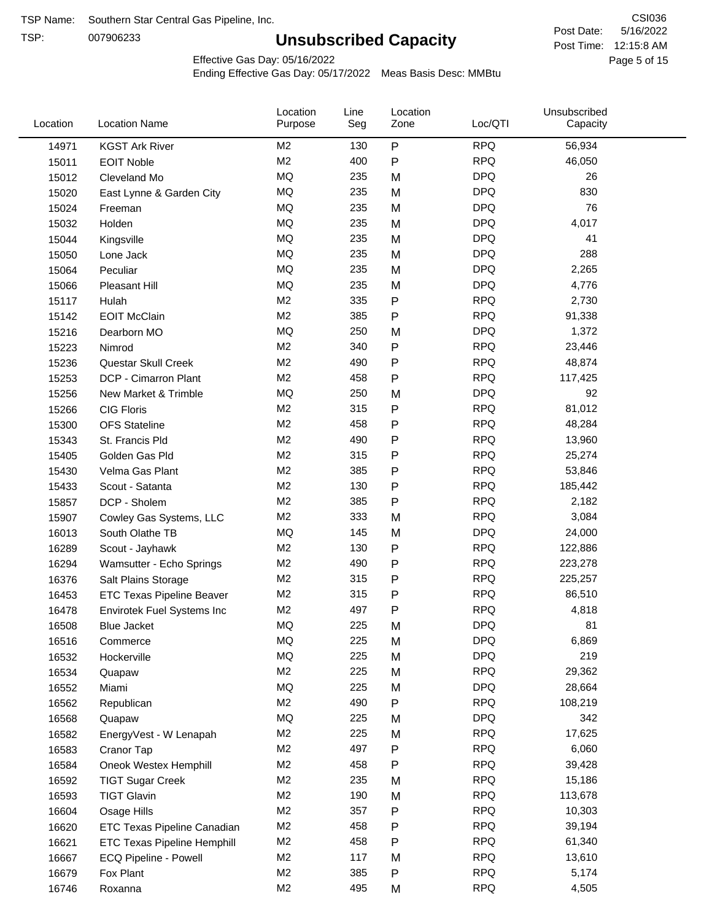TSP:

# **Unsubscribed Capacity**

5/16/2022 Page 5 of 15 Post Time: 12:15:8 AM CSI036 Post Date:

Effective Gas Day: 05/16/2022

| Location | <b>Location Name</b>               | Location<br>Purpose | Line<br>Seg | Location<br>Zone | Loc/QTI    | Unsubscribed<br>Capacity |  |
|----------|------------------------------------|---------------------|-------------|------------------|------------|--------------------------|--|
| 14971    | <b>KGST Ark River</b>              | M <sub>2</sub>      | 130         | ${\sf P}$        | <b>RPQ</b> | 56,934                   |  |
| 15011    | <b>EOIT Noble</b>                  | M <sub>2</sub>      | 400         | P                | <b>RPQ</b> | 46,050                   |  |
| 15012    | Cleveland Mo                       | <b>MQ</b>           | 235         | M                | <b>DPQ</b> | 26                       |  |
| 15020    | East Lynne & Garden City           | MQ                  | 235         | M                | <b>DPQ</b> | 830                      |  |
| 15024    | Freeman                            | <b>MQ</b>           | 235         | M                | <b>DPQ</b> | 76                       |  |
| 15032    | Holden                             | <b>MQ</b>           | 235         | M                | <b>DPQ</b> | 4,017                    |  |
| 15044    | Kingsville                         | MQ                  | 235         | M                | <b>DPQ</b> | 41                       |  |
| 15050    | Lone Jack                          | MQ                  | 235         | M                | <b>DPQ</b> | 288                      |  |
| 15064    | Peculiar                           | <b>MQ</b>           | 235         | M                | <b>DPQ</b> | 2,265                    |  |
| 15066    | <b>Pleasant Hill</b>               | <b>MQ</b>           | 235         | M                | <b>DPQ</b> | 4,776                    |  |
| 15117    | Hulah                              | M <sub>2</sub>      | 335         | ${\sf P}$        | <b>RPQ</b> | 2,730                    |  |
| 15142    | <b>EOIT McClain</b>                | M <sub>2</sub>      | 385         | ${\sf P}$        | <b>RPQ</b> | 91,338                   |  |
| 15216    | Dearborn MO                        | MQ                  | 250         | M                | <b>DPQ</b> | 1,372                    |  |
| 15223    | Nimrod                             | M <sub>2</sub>      | 340         | ${\sf P}$        | <b>RPQ</b> | 23,446                   |  |
| 15236    | Questar Skull Creek                | M2                  | 490         | P                | <b>RPQ</b> | 48,874                   |  |
| 15253    | DCP - Cimarron Plant               | M <sub>2</sub>      | 458         | ${\sf P}$        | <b>RPQ</b> | 117,425                  |  |
| 15256    | New Market & Trimble               | MQ                  | 250         | M                | <b>DPQ</b> | 92                       |  |
| 15266    | <b>CIG Floris</b>                  | M <sub>2</sub>      | 315         | P                | <b>RPQ</b> | 81,012                   |  |
| 15300    | <b>OFS Stateline</b>               | M <sub>2</sub>      | 458         | P                | <b>RPQ</b> | 48,284                   |  |
| 15343    | St. Francis Pld                    | M <sub>2</sub>      | 490         | P                | <b>RPQ</b> | 13,960                   |  |
| 15405    | Golden Gas Pld                     | M <sub>2</sub>      | 315         | P                | <b>RPQ</b> | 25,274                   |  |
| 15430    | Velma Gas Plant                    | M <sub>2</sub>      | 385         | P                | <b>RPQ</b> | 53,846                   |  |
| 15433    | Scout - Satanta                    | M <sub>2</sub>      | 130         | P                | <b>RPQ</b> | 185,442                  |  |
| 15857    | DCP - Sholem                       | M <sub>2</sub>      | 385         | P                | <b>RPQ</b> | 2,182                    |  |
| 15907    | Cowley Gas Systems, LLC            | M <sub>2</sub>      | 333         | M                | <b>RPQ</b> | 3,084                    |  |
| 16013    | South Olathe TB                    | MQ                  | 145         | M                | <b>DPQ</b> | 24,000                   |  |
| 16289    | Scout - Jayhawk                    | M <sub>2</sub>      | 130         | P                | <b>RPQ</b> | 122,886                  |  |
| 16294    | Wamsutter - Echo Springs           | M <sub>2</sub>      | 490         | P                | <b>RPQ</b> | 223,278                  |  |
| 16376    | Salt Plains Storage                | M <sub>2</sub>      | 315         | P                | <b>RPQ</b> | 225,257                  |  |
| 16453    | <b>ETC Texas Pipeline Beaver</b>   | M <sub>2</sub>      | 315         | P                | <b>RPQ</b> | 86,510                   |  |
| 16478    | Envirotek Fuel Systems Inc         | M <sub>2</sub>      | 497         | P                | <b>RPQ</b> | 4,818                    |  |
| 16508    | Blue Jacket                        | <b>MQ</b>           | 225         | M                | <b>DPQ</b> | 81                       |  |
| 16516    | Commerce                           | MQ                  | 225         | M                | <b>DPQ</b> | 6,869                    |  |
| 16532    | Hockerville                        | MQ                  | 225         | M                | <b>DPQ</b> | 219                      |  |
| 16534    | Quapaw                             | M <sub>2</sub>      | 225         | M                | <b>RPQ</b> | 29,362                   |  |
| 16552    | Miami                              | MQ                  | 225         | M                | <b>DPQ</b> | 28,664                   |  |
| 16562    | Republican                         | M2                  | 490         | P                | <b>RPQ</b> | 108,219                  |  |
| 16568    | Quapaw                             | MQ                  | 225         | M                | <b>DPQ</b> | 342                      |  |
| 16582    | EnergyVest - W Lenapah             | M2                  | 225         | M                | <b>RPQ</b> | 17,625                   |  |
| 16583    | Cranor Tap                         | M2                  | 497         | P                | <b>RPQ</b> | 6,060                    |  |
| 16584    | Oneok Westex Hemphill              | M <sub>2</sub>      | 458         | P                | <b>RPQ</b> | 39,428                   |  |
| 16592    | <b>TIGT Sugar Creek</b>            | M <sub>2</sub>      | 235         | M                | <b>RPQ</b> | 15,186                   |  |
| 16593    | <b>TIGT Glavin</b>                 | M <sub>2</sub>      | 190         | M                | <b>RPQ</b> | 113,678                  |  |
| 16604    | Osage Hills                        | M <sub>2</sub>      | 357         | Ρ                | <b>RPQ</b> | 10,303                   |  |
| 16620    | ETC Texas Pipeline Canadian        | M <sub>2</sub>      | 458         | Ρ                | <b>RPQ</b> | 39,194                   |  |
| 16621    | <b>ETC Texas Pipeline Hemphill</b> | M2                  | 458         | P                | <b>RPQ</b> | 61,340                   |  |
| 16667    | ECQ Pipeline - Powell              | M2                  | 117         | M                | <b>RPQ</b> | 13,610                   |  |
| 16679    | Fox Plant                          | M <sub>2</sub>      | 385         | P                | <b>RPQ</b> | 5,174                    |  |
| 16746    | Roxanna                            | M2                  | 495         | M                | <b>RPQ</b> | 4,505                    |  |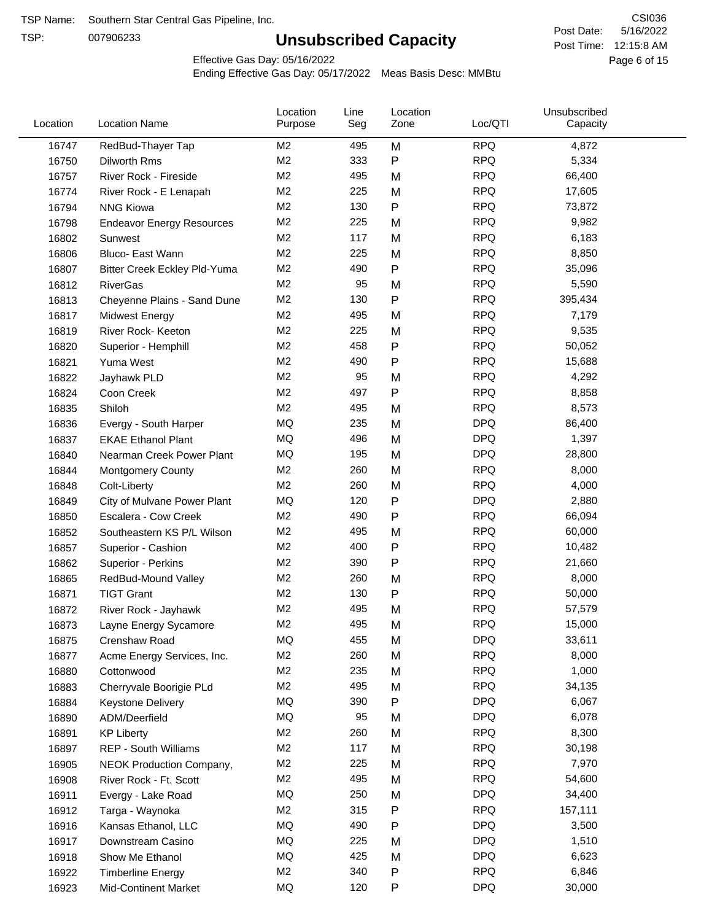TSP:

# **Unsubscribed Capacity**

5/16/2022 Page 6 of 15 Post Time: 12:15:8 AM CSI036 Post Date:

Effective Gas Day: 05/16/2022

| Location | <b>Location Name</b>             | Location<br>Purpose | Line<br>Seg | Location<br>Zone | Loc/QTI    | Unsubscribed<br>Capacity |  |
|----------|----------------------------------|---------------------|-------------|------------------|------------|--------------------------|--|
| 16747    | RedBud-Thayer Tap                | M <sub>2</sub>      | 495         | M                | <b>RPQ</b> | 4,872                    |  |
| 16750    | Dilworth Rms                     | M <sub>2</sub>      | 333         | P                | <b>RPQ</b> | 5,334                    |  |
| 16757    | River Rock - Fireside            | M <sub>2</sub>      | 495         | M                | <b>RPQ</b> | 66,400                   |  |
| 16774    | River Rock - E Lenapah           | M <sub>2</sub>      | 225         | M                | <b>RPQ</b> | 17,605                   |  |
| 16794    | <b>NNG Kiowa</b>                 | M <sub>2</sub>      | 130         | P                | <b>RPQ</b> | 73,872                   |  |
| 16798    | <b>Endeavor Energy Resources</b> | M <sub>2</sub>      | 225         | M                | <b>RPQ</b> | 9,982                    |  |
| 16802    | Sunwest                          | M <sub>2</sub>      | 117         | M                | <b>RPQ</b> | 6,183                    |  |
| 16806    | Bluco- East Wann                 | M <sub>2</sub>      | 225         | M                | <b>RPQ</b> | 8,850                    |  |
| 16807    | Bitter Creek Eckley Pld-Yuma     | M <sub>2</sub>      | 490         | P                | <b>RPQ</b> | 35,096                   |  |
| 16812    | <b>RiverGas</b>                  | M <sub>2</sub>      | 95          | M                | <b>RPQ</b> | 5,590                    |  |
| 16813    | Cheyenne Plains - Sand Dune      | M <sub>2</sub>      | 130         | P                | <b>RPQ</b> | 395,434                  |  |
| 16817    | <b>Midwest Energy</b>            | M <sub>2</sub>      | 495         | M                | <b>RPQ</b> | 7,179                    |  |
| 16819    | River Rock- Keeton               | M <sub>2</sub>      | 225         | M                | <b>RPQ</b> | 9,535                    |  |
| 16820    | Superior - Hemphill              | M <sub>2</sub>      | 458         | Ρ                | <b>RPQ</b> | 50,052                   |  |
| 16821    | Yuma West                        | M <sub>2</sub>      | 490         | P                | <b>RPQ</b> | 15,688                   |  |
| 16822    | Jayhawk PLD                      | M <sub>2</sub>      | 95          | M                | <b>RPQ</b> | 4,292                    |  |
| 16824    | Coon Creek                       | M <sub>2</sub>      | 497         | P                | <b>RPQ</b> | 8,858                    |  |
| 16835    | Shiloh                           | M <sub>2</sub>      | 495         | M                | <b>RPQ</b> | 8,573                    |  |
| 16836    | Evergy - South Harper            | MQ                  | 235         | M                | <b>DPQ</b> | 86,400                   |  |
| 16837    | <b>EKAE Ethanol Plant</b>        | MQ                  | 496         | M                | <b>DPQ</b> | 1,397                    |  |
| 16840    | Nearman Creek Power Plant        | MQ                  | 195         | M                | <b>DPQ</b> | 28,800                   |  |
| 16844    | <b>Montgomery County</b>         | M <sub>2</sub>      | 260         | M                | <b>RPQ</b> | 8,000                    |  |
| 16848    | Colt-Liberty                     | M <sub>2</sub>      | 260         | M                | <b>RPQ</b> | 4,000                    |  |
| 16849    | City of Mulvane Power Plant      | MQ                  | 120         | P                | <b>DPQ</b> | 2,880                    |  |
| 16850    | Escalera - Cow Creek             | M <sub>2</sub>      | 490         | P                | <b>RPQ</b> | 66,094                   |  |
| 16852    | Southeastern KS P/L Wilson       | M <sub>2</sub>      | 495         | M                | <b>RPQ</b> | 60,000                   |  |
| 16857    | Superior - Cashion               | M <sub>2</sub>      | 400         | Ρ                | <b>RPQ</b> | 10,482                   |  |
| 16862    | Superior - Perkins               | M <sub>2</sub>      | 390         | P                | <b>RPQ</b> | 21,660                   |  |
| 16865    | RedBud-Mound Valley              | M <sub>2</sub>      | 260         | M                | <b>RPQ</b> | 8,000                    |  |
| 16871    | <b>TIGT Grant</b>                | M <sub>2</sub>      | 130         | Ρ                | <b>RPQ</b> | 50,000                   |  |
| 16872    | River Rock - Jayhawk             | M <sub>2</sub>      | 495         | M                | <b>RPQ</b> | 57,579                   |  |
| 16873    | Layne Energy Sycamore            | M <sub>2</sub>      | 495         | M                | <b>RPQ</b> | 15,000                   |  |
| 16875    | Crenshaw Road                    | MQ                  | 455         | M                | <b>DPQ</b> | 33,611                   |  |
| 16877    | Acme Energy Services, Inc.       | M <sub>2</sub>      | 260         | M                | <b>RPQ</b> | 8,000                    |  |
| 16880    | Cottonwood                       | M <sub>2</sub>      | 235         | M                | <b>RPQ</b> | 1,000                    |  |
| 16883    | Cherryvale Boorigie PLd          | M <sub>2</sub>      | 495         | M                | <b>RPQ</b> | 34,135                   |  |
| 16884    | <b>Keystone Delivery</b>         | MQ                  | 390         | P                | <b>DPQ</b> | 6,067                    |  |
| 16890    | ADM/Deerfield                    | MQ                  | 95          | M                | <b>DPQ</b> | 6,078                    |  |
| 16891    | <b>KP Liberty</b>                | M <sub>2</sub>      | 260         | M                | <b>RPQ</b> | 8,300                    |  |
| 16897    | REP - South Williams             | M <sub>2</sub>      | 117         | M                | <b>RPQ</b> | 30,198                   |  |
| 16905    | NEOK Production Company,         | M2                  | 225         | Μ                | <b>RPQ</b> | 7,970                    |  |
| 16908    | River Rock - Ft. Scott           | M <sub>2</sub>      | 495         | M                | <b>RPQ</b> | 54,600                   |  |
| 16911    | Evergy - Lake Road               | MQ                  | 250         | M                | <b>DPQ</b> | 34,400                   |  |
| 16912    | Targa - Waynoka                  | M <sub>2</sub>      | 315         | P                | <b>RPQ</b> | 157,111                  |  |
| 16916    | Kansas Ethanol, LLC              | MQ                  | 490         | P                | <b>DPQ</b> | 3,500                    |  |
| 16917    | Downstream Casino                | MQ                  | 225         | M                | <b>DPQ</b> | 1,510                    |  |
| 16918    | Show Me Ethanol                  | MQ                  | 425         | M                | <b>DPQ</b> | 6,623                    |  |
| 16922    | <b>Timberline Energy</b>         | M <sub>2</sub>      | 340         | P                | <b>RPQ</b> | 6,846                    |  |
| 16923    | <b>Mid-Continent Market</b>      | MQ                  | 120         | P                | <b>DPQ</b> | 30,000                   |  |
|          |                                  |                     |             |                  |            |                          |  |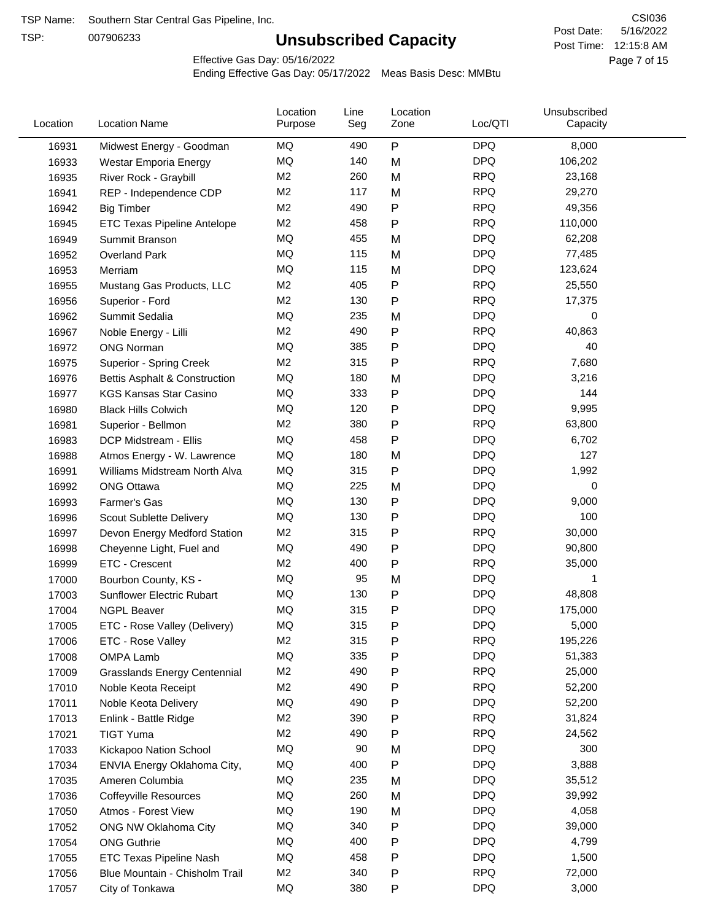TSP:

# **Unsubscribed Capacity**

5/16/2022 Page 7 of 15 Post Time: 12:15:8 AM CSI036 Post Date:

Effective Gas Day: 05/16/2022

| Location | <b>Location Name</b>                     | Location<br>Purpose | Line<br>Seg | Location<br>Zone | Loc/QTI    | Unsubscribed<br>Capacity |  |
|----------|------------------------------------------|---------------------|-------------|------------------|------------|--------------------------|--|
| 16931    | Midwest Energy - Goodman                 | MQ                  | 490         | $\sf P$          | <b>DPQ</b> | 8,000                    |  |
| 16933    | Westar Emporia Energy                    | MQ                  | 140         | M                | <b>DPQ</b> | 106,202                  |  |
| 16935    | River Rock - Graybill                    | M <sub>2</sub>      | 260         | M                | <b>RPQ</b> | 23,168                   |  |
| 16941    | REP - Independence CDP                   | M <sub>2</sub>      | 117         | M                | <b>RPQ</b> | 29,270                   |  |
| 16942    | <b>Big Timber</b>                        | M <sub>2</sub>      | 490         | Ρ                | <b>RPQ</b> | 49,356                   |  |
| 16945    | <b>ETC Texas Pipeline Antelope</b>       | M <sub>2</sub>      | 458         | Ρ                | <b>RPQ</b> | 110,000                  |  |
| 16949    | Summit Branson                           | MQ                  | 455         | M                | <b>DPQ</b> | 62,208                   |  |
| 16952    | <b>Overland Park</b>                     | <b>MQ</b>           | 115         | M                | <b>DPQ</b> | 77,485                   |  |
| 16953    | Merriam                                  | MQ                  | 115         | M                | <b>DPQ</b> | 123,624                  |  |
| 16955    | Mustang Gas Products, LLC                | M <sub>2</sub>      | 405         | P                | <b>RPQ</b> | 25,550                   |  |
| 16956    | Superior - Ford                          | M <sub>2</sub>      | 130         | $\mathsf{P}$     | <b>RPQ</b> | 17,375                   |  |
| 16962    | Summit Sedalia                           | <b>MQ</b>           | 235         | M                | <b>DPQ</b> | 0                        |  |
| 16967    | Noble Energy - Lilli                     | M <sub>2</sub>      | 490         | P                | <b>RPQ</b> | 40,863                   |  |
| 16972    | <b>ONG Norman</b>                        | MQ                  | 385         | Ρ                | <b>DPQ</b> | 40                       |  |
| 16975    | Superior - Spring Creek                  | M <sub>2</sub>      | 315         | Ρ                | <b>RPQ</b> | 7,680                    |  |
| 16976    | <b>Bettis Asphalt &amp; Construction</b> | MQ                  | 180         | M                | <b>DPQ</b> | 3,216                    |  |
| 16977    | <b>KGS Kansas Star Casino</b>            | MQ                  | 333         | ${\sf P}$        | <b>DPQ</b> | 144                      |  |
| 16980    | <b>Black Hills Colwich</b>               | MQ                  | 120         | Ρ                | <b>DPQ</b> | 9,995                    |  |
| 16981    | Superior - Bellmon                       | M <sub>2</sub>      | 380         | Ρ                | <b>RPQ</b> | 63,800                   |  |
| 16983    | DCP Midstream - Ellis                    | MQ                  | 458         | $\mathsf{P}$     | <b>DPQ</b> | 6,702                    |  |
| 16988    | Atmos Energy - W. Lawrence               | <b>MQ</b>           | 180         | M                | <b>DPQ</b> | 127                      |  |
| 16991    | Williams Midstream North Alva            | <b>MQ</b>           | 315         | ${\sf P}$        | <b>DPQ</b> | 1,992                    |  |
| 16992    | <b>ONG Ottawa</b>                        | MQ                  | 225         | M                | <b>DPQ</b> | 0                        |  |
| 16993    | Farmer's Gas                             | MQ                  | 130         | Ρ                | <b>DPQ</b> | 9,000                    |  |
| 16996    | Scout Sublette Delivery                  | MQ                  | 130         | Ρ                | <b>DPQ</b> | 100                      |  |
| 16997    | Devon Energy Medford Station             | M <sub>2</sub>      | 315         | Ρ                | <b>RPQ</b> | 30,000                   |  |
| 16998    | Cheyenne Light, Fuel and                 | MQ                  | 490         | Ρ                | <b>DPQ</b> | 90,800                   |  |
| 16999    | ETC - Crescent                           | M <sub>2</sub>      | 400         | Ρ                | <b>RPQ</b> | 35,000                   |  |
| 17000    | Bourbon County, KS -                     | MQ                  | 95          | M                | <b>DPQ</b> |                          |  |
| 17003    | <b>Sunflower Electric Rubart</b>         | MQ                  | 130         | Ρ                | <b>DPQ</b> | 48,808                   |  |
| 17004    | <b>NGPL Beaver</b>                       | MQ                  | 315         | Ρ                | <b>DPQ</b> | 175,000                  |  |
| 17005    | ETC - Rose Valley (Delivery)             | MQ                  | 315         | P                | <b>DPQ</b> | 5,000                    |  |
| 17006    | ETC - Rose Valley                        | M <sub>2</sub>      | 315         | Ρ                | <b>RPQ</b> | 195,226                  |  |
| 17008    | OMPA Lamb                                | <b>MQ</b>           | 335         | Ρ                | <b>DPQ</b> | 51,383                   |  |
| 17009    | <b>Grasslands Energy Centennial</b>      | M <sub>2</sub>      | 490         | Ρ                | <b>RPQ</b> | 25,000                   |  |
| 17010    | Noble Keota Receipt                      | M <sub>2</sub>      | 490         | Ρ                | <b>RPQ</b> | 52,200                   |  |
| 17011    | Noble Keota Delivery                     | MQ                  | 490         | Ρ                | <b>DPQ</b> | 52,200                   |  |
| 17013    | Enlink - Battle Ridge                    | M <sub>2</sub>      | 390         | Ρ                | <b>RPQ</b> | 31,824                   |  |
| 17021    | <b>TIGT Yuma</b>                         | M <sub>2</sub>      | 490         | P                | <b>RPQ</b> | 24,562                   |  |
| 17033    | Kickapoo Nation School                   | MQ                  | 90          | M                | <b>DPQ</b> | 300                      |  |
| 17034    | ENVIA Energy Oklahoma City,              | MQ                  | 400         | P                | <b>DPQ</b> | 3,888                    |  |
| 17035    | Ameren Columbia                          | MQ                  | 235         | M                | <b>DPQ</b> | 35,512                   |  |
| 17036    | <b>Coffeyville Resources</b>             | MQ                  | 260         | M                | <b>DPQ</b> | 39,992                   |  |
| 17050    | Atmos - Forest View                      | MQ                  | 190         | M                | <b>DPQ</b> | 4,058                    |  |
| 17052    | ONG NW Oklahoma City                     | MQ                  | 340         | P                | <b>DPQ</b> | 39,000                   |  |
| 17054    | <b>ONG Guthrie</b>                       | MQ                  | 400         | Ρ                | <b>DPQ</b> | 4,799                    |  |
| 17055    | <b>ETC Texas Pipeline Nash</b>           | MQ                  | 458         | Ρ                | <b>DPQ</b> | 1,500                    |  |
| 17056    | Blue Mountain - Chisholm Trail           | M <sub>2</sub>      | 340         | Ρ                | <b>RPQ</b> | 72,000                   |  |
| 17057    | City of Tonkawa                          | MQ                  | 380         | P                | <b>DPQ</b> | 3,000                    |  |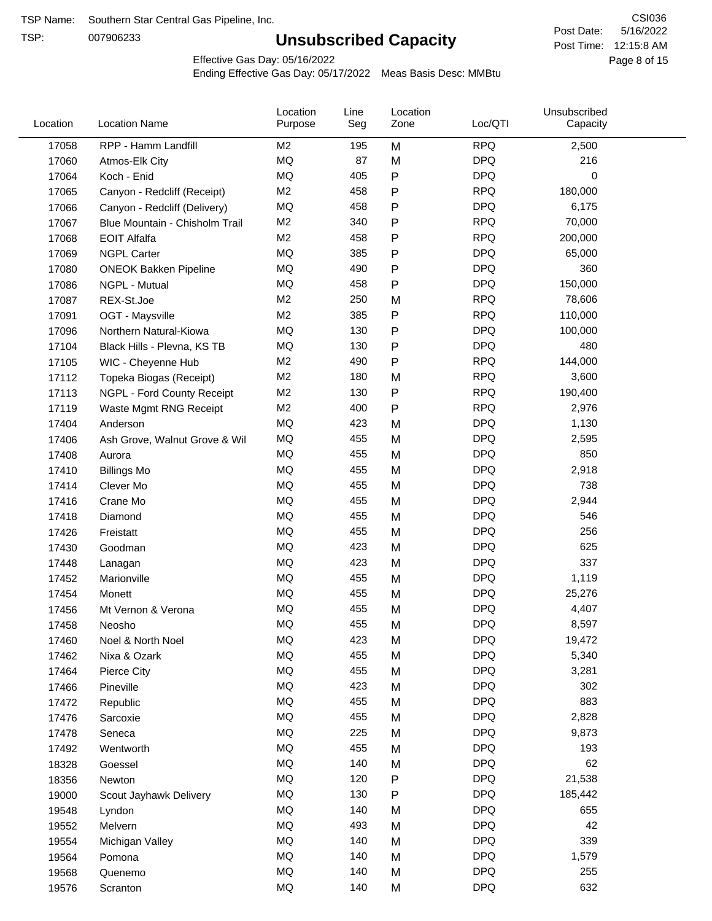TSP:

# **Unsubscribed Capacity**

5/16/2022 Page 8 of 15 Post Time: 12:15:8 AM CSI036 Post Date:

Effective Gas Day: 05/16/2022

| Location | <b>Location Name</b>           | Location<br>Purpose | Line<br>Seg | Location<br>Zone | Loc/QTI    | Unsubscribed<br>Capacity |  |
|----------|--------------------------------|---------------------|-------------|------------------|------------|--------------------------|--|
| 17058    | RPP - Hamm Landfill            | M <sub>2</sub>      | 195         | M                | <b>RPQ</b> | 2,500                    |  |
| 17060    | Atmos-Elk City                 | MQ                  | 87          | M                | <b>DPQ</b> | 216                      |  |
| 17064    | Koch - Enid                    | MQ                  | 405         | ${\sf P}$        | <b>DPQ</b> | 0                        |  |
| 17065    | Canyon - Redcliff (Receipt)    | M <sub>2</sub>      | 458         | $\mathsf{P}$     | <b>RPQ</b> | 180,000                  |  |
| 17066    | Canyon - Redcliff (Delivery)   | MQ                  | 458         | P                | <b>DPQ</b> | 6,175                    |  |
| 17067    | Blue Mountain - Chisholm Trail | M <sub>2</sub>      | 340         | ${\sf P}$        | <b>RPQ</b> | 70,000                   |  |
| 17068    | <b>EOIT Alfalfa</b>            | M <sub>2</sub>      | 458         | P                | <b>RPQ</b> | 200,000                  |  |
| 17069    | <b>NGPL Carter</b>             | <b>MQ</b>           | 385         | P                | <b>DPQ</b> | 65,000                   |  |
| 17080    | <b>ONEOK Bakken Pipeline</b>   | MQ                  | 490         | $\mathsf{P}$     | <b>DPQ</b> | 360                      |  |
| 17086    | NGPL - Mutual                  | <b>MQ</b>           | 458         | P                | <b>DPQ</b> | 150,000                  |  |
| 17087    | REX-St.Joe                     | M <sub>2</sub>      | 250         | M                | <b>RPQ</b> | 78,606                   |  |
| 17091    | OGT - Maysville                | M <sub>2</sub>      | 385         | P                | <b>RPQ</b> | 110,000                  |  |
| 17096    | Northern Natural-Kiowa         | MQ                  | 130         | P                | <b>DPQ</b> | 100,000                  |  |
| 17104    | Black Hills - Plevna, KS TB    | MQ                  | 130         | P                | <b>DPQ</b> | 480                      |  |
| 17105    | WIC - Cheyenne Hub             | M <sub>2</sub>      | 490         | P                | <b>RPQ</b> | 144,000                  |  |
| 17112    | Topeka Biogas (Receipt)        | M <sub>2</sub>      | 180         | M                | <b>RPQ</b> | 3,600                    |  |
| 17113    | NGPL - Ford County Receipt     | M <sub>2</sub>      | 130         | P                | <b>RPQ</b> | 190,400                  |  |
| 17119    | Waste Mgmt RNG Receipt         | M <sub>2</sub>      | 400         | P                | <b>RPQ</b> | 2,976                    |  |
| 17404    | Anderson                       | <b>MQ</b>           | 423         | M                | <b>DPQ</b> | 1,130                    |  |
| 17406    | Ash Grove, Walnut Grove & Wil  | <b>MQ</b>           | 455         | M                | <b>DPQ</b> | 2,595                    |  |
| 17408    | Aurora                         | MQ                  | 455         | M                | <b>DPQ</b> | 850                      |  |
| 17410    | <b>Billings Mo</b>             | <b>MQ</b>           | 455         | M                | <b>DPQ</b> | 2,918                    |  |
| 17414    | Clever Mo                      | <b>MQ</b>           | 455         | M                | <b>DPQ</b> | 738                      |  |
| 17416    | Crane Mo                       | <b>MQ</b>           | 455         | M                | <b>DPQ</b> | 2,944                    |  |
| 17418    | Diamond                        | <b>MQ</b>           | 455         | M                | <b>DPQ</b> | 546                      |  |
| 17426    | Freistatt                      | MQ                  | 455         | M                | <b>DPQ</b> | 256                      |  |
| 17430    | Goodman                        | <b>MQ</b>           | 423         | M                | <b>DPQ</b> | 625                      |  |
| 17448    | Lanagan                        | <b>MQ</b>           | 423         | M                | <b>DPQ</b> | 337                      |  |
| 17452    | Marionville                    | <b>MQ</b>           | 455         | M                | <b>DPQ</b> | 1,119                    |  |
| 17454    | Monett                         | MQ                  | 455         | M                | <b>DPQ</b> | 25,276                   |  |
| 17456    | Mt Vernon & Verona             | MQ                  | 455         | M                | <b>DPQ</b> | 4,407                    |  |
| 17458    | Neosho                         | MQ                  | 455         | M                | <b>DPQ</b> | 8,597                    |  |
| 17460    | Noel & North Noel              | MQ                  | 423         | M                | <b>DPQ</b> | 19,472                   |  |
| 17462    | Nixa & Ozark                   | $\sf{MQ}$           | 455         | M                | <b>DPQ</b> | 5,340                    |  |
| 17464    | Pierce City                    | MQ                  | 455         | M                | <b>DPQ</b> | 3,281                    |  |
| 17466    | Pineville                      | MQ                  | 423         | M                | <b>DPQ</b> | 302                      |  |
| 17472    | Republic                       | MQ                  | 455         | M                | <b>DPQ</b> | 883                      |  |
| 17476    | Sarcoxie                       | MQ                  | 455         | M                | <b>DPQ</b> | 2,828                    |  |
| 17478    | Seneca                         | MQ                  | 225         | M                | <b>DPQ</b> | 9,873                    |  |
| 17492    | Wentworth                      | MQ                  | 455         | M                | <b>DPQ</b> | 193                      |  |
| 18328    | Goessel                        | MQ                  | 140         | M                | <b>DPQ</b> | 62                       |  |
| 18356    | Newton                         | MQ                  | 120         | P                | <b>DPQ</b> | 21,538                   |  |
| 19000    | Scout Jayhawk Delivery         | MQ                  | 130         | P                | <b>DPQ</b> | 185,442                  |  |
| 19548    | Lyndon                         | MQ                  | 140         | M                | <b>DPQ</b> | 655                      |  |
| 19552    | Melvern                        | MQ                  | 493         | M                | <b>DPQ</b> | 42                       |  |
| 19554    | Michigan Valley                | MQ                  | 140         | M                | <b>DPQ</b> | 339                      |  |
| 19564    | Pomona                         | MQ                  | 140         | M                | <b>DPQ</b> | 1,579                    |  |
| 19568    | Quenemo                        | MQ                  | 140         | M                | <b>DPQ</b> | 255                      |  |
| 19576    | Scranton                       | $\sf{MQ}$           | 140         | M                | <b>DPQ</b> | 632                      |  |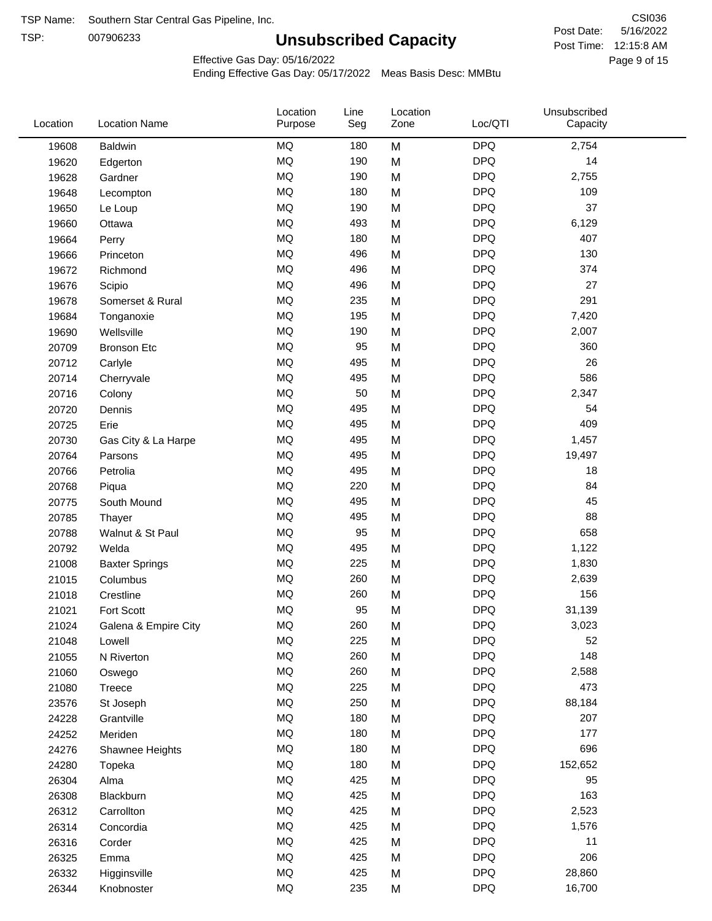TSP:

# **Unsubscribed Capacity**

5/16/2022 Page 9 of 15 Post Time: 12:15:8 AM CSI036 Post Date:

Effective Gas Day: 05/16/2022

| <b>MQ</b><br><b>DPQ</b><br>2,754<br>180<br>M<br><b>Baldwin</b><br>19608<br>MQ<br><b>DPQ</b><br>190<br>14<br>M<br>19620<br>Edgerton<br>MQ<br>190<br><b>DPQ</b><br>M<br>2,755<br>19628<br>Gardner<br><b>MQ</b><br><b>DPQ</b><br>109<br>180<br>19648<br>M<br>Lecompton<br><b>MQ</b><br><b>DPQ</b><br>190<br>M<br>37<br>19650<br>Le Loup<br><b>MQ</b><br><b>DPQ</b><br>6,129<br>493<br>19660<br>M<br>Ottawa<br><b>MQ</b><br><b>DPQ</b><br>407<br>180<br>M<br>19664<br>Perry<br><b>MQ</b><br><b>DPQ</b><br>130<br>496<br>19666<br>M<br>Princeton<br><b>MQ</b><br><b>DPQ</b><br>374<br>19672<br>496<br>M<br>Richmond<br><b>MQ</b><br>27<br>496<br>M<br><b>DPQ</b><br>19676<br>Scipio<br><b>MQ</b><br><b>DPQ</b><br>291<br>235<br>M<br>19678<br>Somerset & Rural<br><b>MQ</b><br>M<br><b>DPQ</b><br>195<br>7,420<br>19684<br>Tonganoxie<br><b>MQ</b><br><b>DPQ</b><br>190<br>2,007<br>19690<br>Wellsville<br>M<br><b>MQ</b><br>95<br>M<br><b>DPQ</b><br>360<br>20709<br><b>Bronson Etc</b><br><b>MQ</b><br><b>DPQ</b><br>26<br>495<br>M<br>20712<br>Carlyle<br><b>MQ</b><br><b>DPQ</b><br>586<br>495<br>M<br>20714<br>Cherryvale<br><b>MQ</b><br>50<br><b>DPQ</b><br>2,347<br>20716<br>M<br>Colony<br><b>MQ</b><br><b>DPQ</b><br>495<br>M<br>54<br>20720<br>Dennis<br><b>MQ</b><br><b>DPQ</b><br>409<br>495<br>M<br>20725<br>Erie<br><b>MQ</b><br><b>DPQ</b><br>495<br>M<br>1,457<br>20730<br>Gas City & La Harpe<br><b>MQ</b><br><b>DPQ</b><br>495<br>19,497<br>20764<br>M<br>Parsons<br><b>MQ</b><br><b>DPQ</b><br>495<br>M<br>18<br>20766<br>Petrolia<br><b>MQ</b><br><b>DPQ</b><br>84<br>220<br>20768<br>M<br>Piqua<br><b>MQ</b><br><b>DPQ</b><br>45<br>495<br>M<br>20775<br>South Mound<br><b>MQ</b><br><b>DPQ</b><br>88<br>495<br>M<br>20785<br>Thayer<br><b>MQ</b><br>95<br><b>DPQ</b><br>658<br>20788<br>M<br>Walnut & St Paul<br><b>MQ</b><br><b>DPQ</b><br>495<br>M<br>1,122<br>20792<br>Welda<br><b>MQ</b><br><b>DPQ</b><br>225<br>1,830<br>21008<br>M<br><b>Baxter Springs</b><br><b>MQ</b><br><b>DPQ</b><br>260<br>M<br>2,639<br>21015<br>Columbus<br><b>MQ</b><br><b>DPQ</b><br>156<br>260<br>Crestline<br>M<br>21018<br><b>MQ</b><br>95<br><b>DPQ</b><br>Fort Scott<br>M<br>31,139<br>21021<br>MQ<br>260<br><b>DPQ</b><br>3,023<br>21024<br>M<br>Galena & Empire City<br>MQ<br>225<br><b>DPQ</b><br>52<br>M<br>21048<br>Lowell<br>MQ<br><b>DPQ</b><br>148<br>260<br>M<br>21055<br>N Riverton<br>MQ<br><b>DPQ</b><br>2,588<br>260<br>M<br>21060<br>Oswego<br>MQ<br>225<br><b>DPQ</b><br>473<br>21080<br>M<br>Treece<br>MQ<br>250<br><b>DPQ</b><br>M<br>88,184<br>23576<br>St Joseph<br><b>MQ</b><br>180<br><b>DPQ</b><br>207<br>24228<br>M<br>Grantville<br>$\sf{MQ}$<br><b>DPQ</b><br>180<br>177<br>24252<br>Meriden<br>M<br><b>MQ</b><br>180<br><b>DPQ</b><br>696<br>24276<br>M<br>Shawnee Heights<br>MQ<br><b>DPQ</b><br>180<br>152,652<br>24280<br>M<br>Topeka<br>MQ<br><b>DPQ</b><br>95<br>425<br>M<br>26304<br>Alma<br>MQ<br><b>DPQ</b><br>163<br>425<br>26308<br>M<br>Blackburn<br>MQ<br><b>DPQ</b><br>425<br>M<br>2,523<br>26312<br>Carrollton<br>MQ<br><b>DPQ</b><br>425<br>1,576<br>26314<br>M<br>Concordia<br>MQ<br><b>DPQ</b><br>425<br>11<br>26316<br>M<br>Corder<br>MQ<br>206<br><b>DPQ</b><br>425<br>M<br>26325<br>Emma<br>$\sf{MQ}$<br><b>DPQ</b><br>425<br>28,860<br>26332<br>M<br>Higginsville<br><b>MQ</b><br><b>DPQ</b><br>235<br>16,700<br>26344<br>M<br>Knobnoster | Location | <b>Location Name</b> | Location<br>Purpose | Line<br>Seg | Location<br>Zone | Loc/QTI | Unsubscribed<br>Capacity |  |
|-------------------------------------------------------------------------------------------------------------------------------------------------------------------------------------------------------------------------------------------------------------------------------------------------------------------------------------------------------------------------------------------------------------------------------------------------------------------------------------------------------------------------------------------------------------------------------------------------------------------------------------------------------------------------------------------------------------------------------------------------------------------------------------------------------------------------------------------------------------------------------------------------------------------------------------------------------------------------------------------------------------------------------------------------------------------------------------------------------------------------------------------------------------------------------------------------------------------------------------------------------------------------------------------------------------------------------------------------------------------------------------------------------------------------------------------------------------------------------------------------------------------------------------------------------------------------------------------------------------------------------------------------------------------------------------------------------------------------------------------------------------------------------------------------------------------------------------------------------------------------------------------------------------------------------------------------------------------------------------------------------------------------------------------------------------------------------------------------------------------------------------------------------------------------------------------------------------------------------------------------------------------------------------------------------------------------------------------------------------------------------------------------------------------------------------------------------------------------------------------------------------------------------------------------------------------------------------------------------------------------------------------------------------------------------------------------------------------------------------------------------------------------------------------------------------------------------------------------------------------------------------------------------------------------------------------------------------------------------------------------------------------------------------------------------------------------------------------------------------------------------------------------------------------------------------------------------------------------------------------------------------------------------------------------------------------------------------------------------------------------------------------------|----------|----------------------|---------------------|-------------|------------------|---------|--------------------------|--|
|                                                                                                                                                                                                                                                                                                                                                                                                                                                                                                                                                                                                                                                                                                                                                                                                                                                                                                                                                                                                                                                                                                                                                                                                                                                                                                                                                                                                                                                                                                                                                                                                                                                                                                                                                                                                                                                                                                                                                                                                                                                                                                                                                                                                                                                                                                                                                                                                                                                                                                                                                                                                                                                                                                                                                                                                                                                                                                                                                                                                                                                                                                                                                                                                                                                                                                                                                                                                 |          |                      |                     |             |                  |         |                          |  |
|                                                                                                                                                                                                                                                                                                                                                                                                                                                                                                                                                                                                                                                                                                                                                                                                                                                                                                                                                                                                                                                                                                                                                                                                                                                                                                                                                                                                                                                                                                                                                                                                                                                                                                                                                                                                                                                                                                                                                                                                                                                                                                                                                                                                                                                                                                                                                                                                                                                                                                                                                                                                                                                                                                                                                                                                                                                                                                                                                                                                                                                                                                                                                                                                                                                                                                                                                                                                 |          |                      |                     |             |                  |         |                          |  |
|                                                                                                                                                                                                                                                                                                                                                                                                                                                                                                                                                                                                                                                                                                                                                                                                                                                                                                                                                                                                                                                                                                                                                                                                                                                                                                                                                                                                                                                                                                                                                                                                                                                                                                                                                                                                                                                                                                                                                                                                                                                                                                                                                                                                                                                                                                                                                                                                                                                                                                                                                                                                                                                                                                                                                                                                                                                                                                                                                                                                                                                                                                                                                                                                                                                                                                                                                                                                 |          |                      |                     |             |                  |         |                          |  |
|                                                                                                                                                                                                                                                                                                                                                                                                                                                                                                                                                                                                                                                                                                                                                                                                                                                                                                                                                                                                                                                                                                                                                                                                                                                                                                                                                                                                                                                                                                                                                                                                                                                                                                                                                                                                                                                                                                                                                                                                                                                                                                                                                                                                                                                                                                                                                                                                                                                                                                                                                                                                                                                                                                                                                                                                                                                                                                                                                                                                                                                                                                                                                                                                                                                                                                                                                                                                 |          |                      |                     |             |                  |         |                          |  |
|                                                                                                                                                                                                                                                                                                                                                                                                                                                                                                                                                                                                                                                                                                                                                                                                                                                                                                                                                                                                                                                                                                                                                                                                                                                                                                                                                                                                                                                                                                                                                                                                                                                                                                                                                                                                                                                                                                                                                                                                                                                                                                                                                                                                                                                                                                                                                                                                                                                                                                                                                                                                                                                                                                                                                                                                                                                                                                                                                                                                                                                                                                                                                                                                                                                                                                                                                                                                 |          |                      |                     |             |                  |         |                          |  |
|                                                                                                                                                                                                                                                                                                                                                                                                                                                                                                                                                                                                                                                                                                                                                                                                                                                                                                                                                                                                                                                                                                                                                                                                                                                                                                                                                                                                                                                                                                                                                                                                                                                                                                                                                                                                                                                                                                                                                                                                                                                                                                                                                                                                                                                                                                                                                                                                                                                                                                                                                                                                                                                                                                                                                                                                                                                                                                                                                                                                                                                                                                                                                                                                                                                                                                                                                                                                 |          |                      |                     |             |                  |         |                          |  |
|                                                                                                                                                                                                                                                                                                                                                                                                                                                                                                                                                                                                                                                                                                                                                                                                                                                                                                                                                                                                                                                                                                                                                                                                                                                                                                                                                                                                                                                                                                                                                                                                                                                                                                                                                                                                                                                                                                                                                                                                                                                                                                                                                                                                                                                                                                                                                                                                                                                                                                                                                                                                                                                                                                                                                                                                                                                                                                                                                                                                                                                                                                                                                                                                                                                                                                                                                                                                 |          |                      |                     |             |                  |         |                          |  |
|                                                                                                                                                                                                                                                                                                                                                                                                                                                                                                                                                                                                                                                                                                                                                                                                                                                                                                                                                                                                                                                                                                                                                                                                                                                                                                                                                                                                                                                                                                                                                                                                                                                                                                                                                                                                                                                                                                                                                                                                                                                                                                                                                                                                                                                                                                                                                                                                                                                                                                                                                                                                                                                                                                                                                                                                                                                                                                                                                                                                                                                                                                                                                                                                                                                                                                                                                                                                 |          |                      |                     |             |                  |         |                          |  |
|                                                                                                                                                                                                                                                                                                                                                                                                                                                                                                                                                                                                                                                                                                                                                                                                                                                                                                                                                                                                                                                                                                                                                                                                                                                                                                                                                                                                                                                                                                                                                                                                                                                                                                                                                                                                                                                                                                                                                                                                                                                                                                                                                                                                                                                                                                                                                                                                                                                                                                                                                                                                                                                                                                                                                                                                                                                                                                                                                                                                                                                                                                                                                                                                                                                                                                                                                                                                 |          |                      |                     |             |                  |         |                          |  |
|                                                                                                                                                                                                                                                                                                                                                                                                                                                                                                                                                                                                                                                                                                                                                                                                                                                                                                                                                                                                                                                                                                                                                                                                                                                                                                                                                                                                                                                                                                                                                                                                                                                                                                                                                                                                                                                                                                                                                                                                                                                                                                                                                                                                                                                                                                                                                                                                                                                                                                                                                                                                                                                                                                                                                                                                                                                                                                                                                                                                                                                                                                                                                                                                                                                                                                                                                                                                 |          |                      |                     |             |                  |         |                          |  |
|                                                                                                                                                                                                                                                                                                                                                                                                                                                                                                                                                                                                                                                                                                                                                                                                                                                                                                                                                                                                                                                                                                                                                                                                                                                                                                                                                                                                                                                                                                                                                                                                                                                                                                                                                                                                                                                                                                                                                                                                                                                                                                                                                                                                                                                                                                                                                                                                                                                                                                                                                                                                                                                                                                                                                                                                                                                                                                                                                                                                                                                                                                                                                                                                                                                                                                                                                                                                 |          |                      |                     |             |                  |         |                          |  |
|                                                                                                                                                                                                                                                                                                                                                                                                                                                                                                                                                                                                                                                                                                                                                                                                                                                                                                                                                                                                                                                                                                                                                                                                                                                                                                                                                                                                                                                                                                                                                                                                                                                                                                                                                                                                                                                                                                                                                                                                                                                                                                                                                                                                                                                                                                                                                                                                                                                                                                                                                                                                                                                                                                                                                                                                                                                                                                                                                                                                                                                                                                                                                                                                                                                                                                                                                                                                 |          |                      |                     |             |                  |         |                          |  |
|                                                                                                                                                                                                                                                                                                                                                                                                                                                                                                                                                                                                                                                                                                                                                                                                                                                                                                                                                                                                                                                                                                                                                                                                                                                                                                                                                                                                                                                                                                                                                                                                                                                                                                                                                                                                                                                                                                                                                                                                                                                                                                                                                                                                                                                                                                                                                                                                                                                                                                                                                                                                                                                                                                                                                                                                                                                                                                                                                                                                                                                                                                                                                                                                                                                                                                                                                                                                 |          |                      |                     |             |                  |         |                          |  |
|                                                                                                                                                                                                                                                                                                                                                                                                                                                                                                                                                                                                                                                                                                                                                                                                                                                                                                                                                                                                                                                                                                                                                                                                                                                                                                                                                                                                                                                                                                                                                                                                                                                                                                                                                                                                                                                                                                                                                                                                                                                                                                                                                                                                                                                                                                                                                                                                                                                                                                                                                                                                                                                                                                                                                                                                                                                                                                                                                                                                                                                                                                                                                                                                                                                                                                                                                                                                 |          |                      |                     |             |                  |         |                          |  |
|                                                                                                                                                                                                                                                                                                                                                                                                                                                                                                                                                                                                                                                                                                                                                                                                                                                                                                                                                                                                                                                                                                                                                                                                                                                                                                                                                                                                                                                                                                                                                                                                                                                                                                                                                                                                                                                                                                                                                                                                                                                                                                                                                                                                                                                                                                                                                                                                                                                                                                                                                                                                                                                                                                                                                                                                                                                                                                                                                                                                                                                                                                                                                                                                                                                                                                                                                                                                 |          |                      |                     |             |                  |         |                          |  |
|                                                                                                                                                                                                                                                                                                                                                                                                                                                                                                                                                                                                                                                                                                                                                                                                                                                                                                                                                                                                                                                                                                                                                                                                                                                                                                                                                                                                                                                                                                                                                                                                                                                                                                                                                                                                                                                                                                                                                                                                                                                                                                                                                                                                                                                                                                                                                                                                                                                                                                                                                                                                                                                                                                                                                                                                                                                                                                                                                                                                                                                                                                                                                                                                                                                                                                                                                                                                 |          |                      |                     |             |                  |         |                          |  |
|                                                                                                                                                                                                                                                                                                                                                                                                                                                                                                                                                                                                                                                                                                                                                                                                                                                                                                                                                                                                                                                                                                                                                                                                                                                                                                                                                                                                                                                                                                                                                                                                                                                                                                                                                                                                                                                                                                                                                                                                                                                                                                                                                                                                                                                                                                                                                                                                                                                                                                                                                                                                                                                                                                                                                                                                                                                                                                                                                                                                                                                                                                                                                                                                                                                                                                                                                                                                 |          |                      |                     |             |                  |         |                          |  |
|                                                                                                                                                                                                                                                                                                                                                                                                                                                                                                                                                                                                                                                                                                                                                                                                                                                                                                                                                                                                                                                                                                                                                                                                                                                                                                                                                                                                                                                                                                                                                                                                                                                                                                                                                                                                                                                                                                                                                                                                                                                                                                                                                                                                                                                                                                                                                                                                                                                                                                                                                                                                                                                                                                                                                                                                                                                                                                                                                                                                                                                                                                                                                                                                                                                                                                                                                                                                 |          |                      |                     |             |                  |         |                          |  |
|                                                                                                                                                                                                                                                                                                                                                                                                                                                                                                                                                                                                                                                                                                                                                                                                                                                                                                                                                                                                                                                                                                                                                                                                                                                                                                                                                                                                                                                                                                                                                                                                                                                                                                                                                                                                                                                                                                                                                                                                                                                                                                                                                                                                                                                                                                                                                                                                                                                                                                                                                                                                                                                                                                                                                                                                                                                                                                                                                                                                                                                                                                                                                                                                                                                                                                                                                                                                 |          |                      |                     |             |                  |         |                          |  |
|                                                                                                                                                                                                                                                                                                                                                                                                                                                                                                                                                                                                                                                                                                                                                                                                                                                                                                                                                                                                                                                                                                                                                                                                                                                                                                                                                                                                                                                                                                                                                                                                                                                                                                                                                                                                                                                                                                                                                                                                                                                                                                                                                                                                                                                                                                                                                                                                                                                                                                                                                                                                                                                                                                                                                                                                                                                                                                                                                                                                                                                                                                                                                                                                                                                                                                                                                                                                 |          |                      |                     |             |                  |         |                          |  |
|                                                                                                                                                                                                                                                                                                                                                                                                                                                                                                                                                                                                                                                                                                                                                                                                                                                                                                                                                                                                                                                                                                                                                                                                                                                                                                                                                                                                                                                                                                                                                                                                                                                                                                                                                                                                                                                                                                                                                                                                                                                                                                                                                                                                                                                                                                                                                                                                                                                                                                                                                                                                                                                                                                                                                                                                                                                                                                                                                                                                                                                                                                                                                                                                                                                                                                                                                                                                 |          |                      |                     |             |                  |         |                          |  |
|                                                                                                                                                                                                                                                                                                                                                                                                                                                                                                                                                                                                                                                                                                                                                                                                                                                                                                                                                                                                                                                                                                                                                                                                                                                                                                                                                                                                                                                                                                                                                                                                                                                                                                                                                                                                                                                                                                                                                                                                                                                                                                                                                                                                                                                                                                                                                                                                                                                                                                                                                                                                                                                                                                                                                                                                                                                                                                                                                                                                                                                                                                                                                                                                                                                                                                                                                                                                 |          |                      |                     |             |                  |         |                          |  |
|                                                                                                                                                                                                                                                                                                                                                                                                                                                                                                                                                                                                                                                                                                                                                                                                                                                                                                                                                                                                                                                                                                                                                                                                                                                                                                                                                                                                                                                                                                                                                                                                                                                                                                                                                                                                                                                                                                                                                                                                                                                                                                                                                                                                                                                                                                                                                                                                                                                                                                                                                                                                                                                                                                                                                                                                                                                                                                                                                                                                                                                                                                                                                                                                                                                                                                                                                                                                 |          |                      |                     |             |                  |         |                          |  |
|                                                                                                                                                                                                                                                                                                                                                                                                                                                                                                                                                                                                                                                                                                                                                                                                                                                                                                                                                                                                                                                                                                                                                                                                                                                                                                                                                                                                                                                                                                                                                                                                                                                                                                                                                                                                                                                                                                                                                                                                                                                                                                                                                                                                                                                                                                                                                                                                                                                                                                                                                                                                                                                                                                                                                                                                                                                                                                                                                                                                                                                                                                                                                                                                                                                                                                                                                                                                 |          |                      |                     |             |                  |         |                          |  |
|                                                                                                                                                                                                                                                                                                                                                                                                                                                                                                                                                                                                                                                                                                                                                                                                                                                                                                                                                                                                                                                                                                                                                                                                                                                                                                                                                                                                                                                                                                                                                                                                                                                                                                                                                                                                                                                                                                                                                                                                                                                                                                                                                                                                                                                                                                                                                                                                                                                                                                                                                                                                                                                                                                                                                                                                                                                                                                                                                                                                                                                                                                                                                                                                                                                                                                                                                                                                 |          |                      |                     |             |                  |         |                          |  |
|                                                                                                                                                                                                                                                                                                                                                                                                                                                                                                                                                                                                                                                                                                                                                                                                                                                                                                                                                                                                                                                                                                                                                                                                                                                                                                                                                                                                                                                                                                                                                                                                                                                                                                                                                                                                                                                                                                                                                                                                                                                                                                                                                                                                                                                                                                                                                                                                                                                                                                                                                                                                                                                                                                                                                                                                                                                                                                                                                                                                                                                                                                                                                                                                                                                                                                                                                                                                 |          |                      |                     |             |                  |         |                          |  |
|                                                                                                                                                                                                                                                                                                                                                                                                                                                                                                                                                                                                                                                                                                                                                                                                                                                                                                                                                                                                                                                                                                                                                                                                                                                                                                                                                                                                                                                                                                                                                                                                                                                                                                                                                                                                                                                                                                                                                                                                                                                                                                                                                                                                                                                                                                                                                                                                                                                                                                                                                                                                                                                                                                                                                                                                                                                                                                                                                                                                                                                                                                                                                                                                                                                                                                                                                                                                 |          |                      |                     |             |                  |         |                          |  |
|                                                                                                                                                                                                                                                                                                                                                                                                                                                                                                                                                                                                                                                                                                                                                                                                                                                                                                                                                                                                                                                                                                                                                                                                                                                                                                                                                                                                                                                                                                                                                                                                                                                                                                                                                                                                                                                                                                                                                                                                                                                                                                                                                                                                                                                                                                                                                                                                                                                                                                                                                                                                                                                                                                                                                                                                                                                                                                                                                                                                                                                                                                                                                                                                                                                                                                                                                                                                 |          |                      |                     |             |                  |         |                          |  |
|                                                                                                                                                                                                                                                                                                                                                                                                                                                                                                                                                                                                                                                                                                                                                                                                                                                                                                                                                                                                                                                                                                                                                                                                                                                                                                                                                                                                                                                                                                                                                                                                                                                                                                                                                                                                                                                                                                                                                                                                                                                                                                                                                                                                                                                                                                                                                                                                                                                                                                                                                                                                                                                                                                                                                                                                                                                                                                                                                                                                                                                                                                                                                                                                                                                                                                                                                                                                 |          |                      |                     |             |                  |         |                          |  |
|                                                                                                                                                                                                                                                                                                                                                                                                                                                                                                                                                                                                                                                                                                                                                                                                                                                                                                                                                                                                                                                                                                                                                                                                                                                                                                                                                                                                                                                                                                                                                                                                                                                                                                                                                                                                                                                                                                                                                                                                                                                                                                                                                                                                                                                                                                                                                                                                                                                                                                                                                                                                                                                                                                                                                                                                                                                                                                                                                                                                                                                                                                                                                                                                                                                                                                                                                                                                 |          |                      |                     |             |                  |         |                          |  |
|                                                                                                                                                                                                                                                                                                                                                                                                                                                                                                                                                                                                                                                                                                                                                                                                                                                                                                                                                                                                                                                                                                                                                                                                                                                                                                                                                                                                                                                                                                                                                                                                                                                                                                                                                                                                                                                                                                                                                                                                                                                                                                                                                                                                                                                                                                                                                                                                                                                                                                                                                                                                                                                                                                                                                                                                                                                                                                                                                                                                                                                                                                                                                                                                                                                                                                                                                                                                 |          |                      |                     |             |                  |         |                          |  |
|                                                                                                                                                                                                                                                                                                                                                                                                                                                                                                                                                                                                                                                                                                                                                                                                                                                                                                                                                                                                                                                                                                                                                                                                                                                                                                                                                                                                                                                                                                                                                                                                                                                                                                                                                                                                                                                                                                                                                                                                                                                                                                                                                                                                                                                                                                                                                                                                                                                                                                                                                                                                                                                                                                                                                                                                                                                                                                                                                                                                                                                                                                                                                                                                                                                                                                                                                                                                 |          |                      |                     |             |                  |         |                          |  |
|                                                                                                                                                                                                                                                                                                                                                                                                                                                                                                                                                                                                                                                                                                                                                                                                                                                                                                                                                                                                                                                                                                                                                                                                                                                                                                                                                                                                                                                                                                                                                                                                                                                                                                                                                                                                                                                                                                                                                                                                                                                                                                                                                                                                                                                                                                                                                                                                                                                                                                                                                                                                                                                                                                                                                                                                                                                                                                                                                                                                                                                                                                                                                                                                                                                                                                                                                                                                 |          |                      |                     |             |                  |         |                          |  |
|                                                                                                                                                                                                                                                                                                                                                                                                                                                                                                                                                                                                                                                                                                                                                                                                                                                                                                                                                                                                                                                                                                                                                                                                                                                                                                                                                                                                                                                                                                                                                                                                                                                                                                                                                                                                                                                                                                                                                                                                                                                                                                                                                                                                                                                                                                                                                                                                                                                                                                                                                                                                                                                                                                                                                                                                                                                                                                                                                                                                                                                                                                                                                                                                                                                                                                                                                                                                 |          |                      |                     |             |                  |         |                          |  |
|                                                                                                                                                                                                                                                                                                                                                                                                                                                                                                                                                                                                                                                                                                                                                                                                                                                                                                                                                                                                                                                                                                                                                                                                                                                                                                                                                                                                                                                                                                                                                                                                                                                                                                                                                                                                                                                                                                                                                                                                                                                                                                                                                                                                                                                                                                                                                                                                                                                                                                                                                                                                                                                                                                                                                                                                                                                                                                                                                                                                                                                                                                                                                                                                                                                                                                                                                                                                 |          |                      |                     |             |                  |         |                          |  |
|                                                                                                                                                                                                                                                                                                                                                                                                                                                                                                                                                                                                                                                                                                                                                                                                                                                                                                                                                                                                                                                                                                                                                                                                                                                                                                                                                                                                                                                                                                                                                                                                                                                                                                                                                                                                                                                                                                                                                                                                                                                                                                                                                                                                                                                                                                                                                                                                                                                                                                                                                                                                                                                                                                                                                                                                                                                                                                                                                                                                                                                                                                                                                                                                                                                                                                                                                                                                 |          |                      |                     |             |                  |         |                          |  |
|                                                                                                                                                                                                                                                                                                                                                                                                                                                                                                                                                                                                                                                                                                                                                                                                                                                                                                                                                                                                                                                                                                                                                                                                                                                                                                                                                                                                                                                                                                                                                                                                                                                                                                                                                                                                                                                                                                                                                                                                                                                                                                                                                                                                                                                                                                                                                                                                                                                                                                                                                                                                                                                                                                                                                                                                                                                                                                                                                                                                                                                                                                                                                                                                                                                                                                                                                                                                 |          |                      |                     |             |                  |         |                          |  |
|                                                                                                                                                                                                                                                                                                                                                                                                                                                                                                                                                                                                                                                                                                                                                                                                                                                                                                                                                                                                                                                                                                                                                                                                                                                                                                                                                                                                                                                                                                                                                                                                                                                                                                                                                                                                                                                                                                                                                                                                                                                                                                                                                                                                                                                                                                                                                                                                                                                                                                                                                                                                                                                                                                                                                                                                                                                                                                                                                                                                                                                                                                                                                                                                                                                                                                                                                                                                 |          |                      |                     |             |                  |         |                          |  |
|                                                                                                                                                                                                                                                                                                                                                                                                                                                                                                                                                                                                                                                                                                                                                                                                                                                                                                                                                                                                                                                                                                                                                                                                                                                                                                                                                                                                                                                                                                                                                                                                                                                                                                                                                                                                                                                                                                                                                                                                                                                                                                                                                                                                                                                                                                                                                                                                                                                                                                                                                                                                                                                                                                                                                                                                                                                                                                                                                                                                                                                                                                                                                                                                                                                                                                                                                                                                 |          |                      |                     |             |                  |         |                          |  |
|                                                                                                                                                                                                                                                                                                                                                                                                                                                                                                                                                                                                                                                                                                                                                                                                                                                                                                                                                                                                                                                                                                                                                                                                                                                                                                                                                                                                                                                                                                                                                                                                                                                                                                                                                                                                                                                                                                                                                                                                                                                                                                                                                                                                                                                                                                                                                                                                                                                                                                                                                                                                                                                                                                                                                                                                                                                                                                                                                                                                                                                                                                                                                                                                                                                                                                                                                                                                 |          |                      |                     |             |                  |         |                          |  |
|                                                                                                                                                                                                                                                                                                                                                                                                                                                                                                                                                                                                                                                                                                                                                                                                                                                                                                                                                                                                                                                                                                                                                                                                                                                                                                                                                                                                                                                                                                                                                                                                                                                                                                                                                                                                                                                                                                                                                                                                                                                                                                                                                                                                                                                                                                                                                                                                                                                                                                                                                                                                                                                                                                                                                                                                                                                                                                                                                                                                                                                                                                                                                                                                                                                                                                                                                                                                 |          |                      |                     |             |                  |         |                          |  |
|                                                                                                                                                                                                                                                                                                                                                                                                                                                                                                                                                                                                                                                                                                                                                                                                                                                                                                                                                                                                                                                                                                                                                                                                                                                                                                                                                                                                                                                                                                                                                                                                                                                                                                                                                                                                                                                                                                                                                                                                                                                                                                                                                                                                                                                                                                                                                                                                                                                                                                                                                                                                                                                                                                                                                                                                                                                                                                                                                                                                                                                                                                                                                                                                                                                                                                                                                                                                 |          |                      |                     |             |                  |         |                          |  |
|                                                                                                                                                                                                                                                                                                                                                                                                                                                                                                                                                                                                                                                                                                                                                                                                                                                                                                                                                                                                                                                                                                                                                                                                                                                                                                                                                                                                                                                                                                                                                                                                                                                                                                                                                                                                                                                                                                                                                                                                                                                                                                                                                                                                                                                                                                                                                                                                                                                                                                                                                                                                                                                                                                                                                                                                                                                                                                                                                                                                                                                                                                                                                                                                                                                                                                                                                                                                 |          |                      |                     |             |                  |         |                          |  |
|                                                                                                                                                                                                                                                                                                                                                                                                                                                                                                                                                                                                                                                                                                                                                                                                                                                                                                                                                                                                                                                                                                                                                                                                                                                                                                                                                                                                                                                                                                                                                                                                                                                                                                                                                                                                                                                                                                                                                                                                                                                                                                                                                                                                                                                                                                                                                                                                                                                                                                                                                                                                                                                                                                                                                                                                                                                                                                                                                                                                                                                                                                                                                                                                                                                                                                                                                                                                 |          |                      |                     |             |                  |         |                          |  |
|                                                                                                                                                                                                                                                                                                                                                                                                                                                                                                                                                                                                                                                                                                                                                                                                                                                                                                                                                                                                                                                                                                                                                                                                                                                                                                                                                                                                                                                                                                                                                                                                                                                                                                                                                                                                                                                                                                                                                                                                                                                                                                                                                                                                                                                                                                                                                                                                                                                                                                                                                                                                                                                                                                                                                                                                                                                                                                                                                                                                                                                                                                                                                                                                                                                                                                                                                                                                 |          |                      |                     |             |                  |         |                          |  |
|                                                                                                                                                                                                                                                                                                                                                                                                                                                                                                                                                                                                                                                                                                                                                                                                                                                                                                                                                                                                                                                                                                                                                                                                                                                                                                                                                                                                                                                                                                                                                                                                                                                                                                                                                                                                                                                                                                                                                                                                                                                                                                                                                                                                                                                                                                                                                                                                                                                                                                                                                                                                                                                                                                                                                                                                                                                                                                                                                                                                                                                                                                                                                                                                                                                                                                                                                                                                 |          |                      |                     |             |                  |         |                          |  |
|                                                                                                                                                                                                                                                                                                                                                                                                                                                                                                                                                                                                                                                                                                                                                                                                                                                                                                                                                                                                                                                                                                                                                                                                                                                                                                                                                                                                                                                                                                                                                                                                                                                                                                                                                                                                                                                                                                                                                                                                                                                                                                                                                                                                                                                                                                                                                                                                                                                                                                                                                                                                                                                                                                                                                                                                                                                                                                                                                                                                                                                                                                                                                                                                                                                                                                                                                                                                 |          |                      |                     |             |                  |         |                          |  |
|                                                                                                                                                                                                                                                                                                                                                                                                                                                                                                                                                                                                                                                                                                                                                                                                                                                                                                                                                                                                                                                                                                                                                                                                                                                                                                                                                                                                                                                                                                                                                                                                                                                                                                                                                                                                                                                                                                                                                                                                                                                                                                                                                                                                                                                                                                                                                                                                                                                                                                                                                                                                                                                                                                                                                                                                                                                                                                                                                                                                                                                                                                                                                                                                                                                                                                                                                                                                 |          |                      |                     |             |                  |         |                          |  |
|                                                                                                                                                                                                                                                                                                                                                                                                                                                                                                                                                                                                                                                                                                                                                                                                                                                                                                                                                                                                                                                                                                                                                                                                                                                                                                                                                                                                                                                                                                                                                                                                                                                                                                                                                                                                                                                                                                                                                                                                                                                                                                                                                                                                                                                                                                                                                                                                                                                                                                                                                                                                                                                                                                                                                                                                                                                                                                                                                                                                                                                                                                                                                                                                                                                                                                                                                                                                 |          |                      |                     |             |                  |         |                          |  |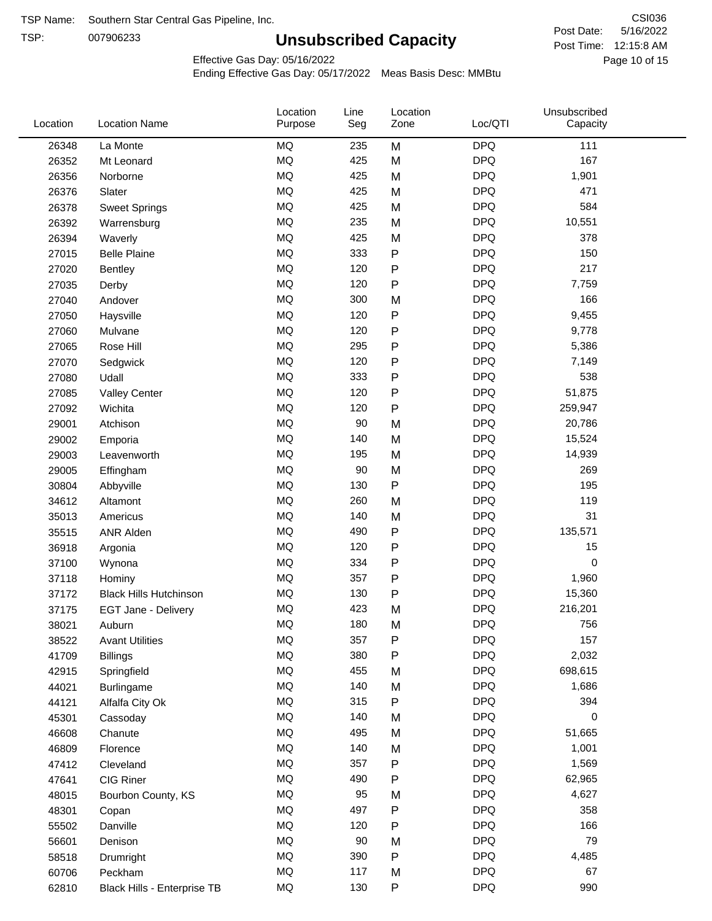TSP:

# **Unsubscribed Capacity**

5/16/2022 Page 10 of 15 Post Time: 12:15:8 AM CSI036 Post Date:

Unsubscribed

Effective Gas Day: 05/16/2022

Location

Ending Effective Gas Day: 05/17/2022 Meas Basis Desc: MMBtu

Line

Location

| Location | <b>Location Name</b>          | Purpose   | Seg | Zone         | Loc/QTI    | Capacity |  |
|----------|-------------------------------|-----------|-----|--------------|------------|----------|--|
| 26348    | La Monte                      | <b>MQ</b> | 235 | M            | <b>DPQ</b> | 111      |  |
| 26352    | Mt Leonard                    | MQ        | 425 | M            | <b>DPQ</b> | 167      |  |
| 26356    | Norborne                      | MQ        | 425 | M            | <b>DPQ</b> | 1,901    |  |
| 26376    | Slater                        | MQ        | 425 | M            | <b>DPQ</b> | 471      |  |
| 26378    | <b>Sweet Springs</b>          | <b>MQ</b> | 425 | M            | <b>DPQ</b> | 584      |  |
| 26392    | Warrensburg                   | <b>MQ</b> | 235 | M            | <b>DPQ</b> | 10,551   |  |
| 26394    | Waverly                       | MQ        | 425 | M            | <b>DPQ</b> | 378      |  |
| 27015    | <b>Belle Plaine</b>           | <b>MQ</b> | 333 | $\mathsf{P}$ | <b>DPQ</b> | 150      |  |
| 27020    | Bentley                       | MQ        | 120 | ${\sf P}$    | <b>DPQ</b> | 217      |  |
| 27035    | Derby                         | <b>MQ</b> | 120 | ${\sf P}$    | <b>DPQ</b> | 7,759    |  |
| 27040    | Andover                       | <b>MQ</b> | 300 | M            | <b>DPQ</b> | 166      |  |
| 27050    | Haysville                     | MQ        | 120 | ${\sf P}$    | <b>DPQ</b> | 9,455    |  |
| 27060    | Mulvane                       | MQ        | 120 | ${\sf P}$    | <b>DPQ</b> | 9,778    |  |
| 27065    | Rose Hill                     | <b>MQ</b> | 295 | $\mathsf{P}$ | <b>DPQ</b> | 5,386    |  |
| 27070    | Sedgwick                      | <b>MQ</b> | 120 | ${\sf P}$    | <b>DPQ</b> | 7,149    |  |
| 27080    | Udall                         | MQ        | 333 | ${\sf P}$    | <b>DPQ</b> | 538      |  |
| 27085    | <b>Valley Center</b>          | MQ        | 120 | $\sf P$      | <b>DPQ</b> | 51,875   |  |
| 27092    | Wichita                       | <b>MQ</b> | 120 | ${\sf P}$    | <b>DPQ</b> | 259,947  |  |
| 29001    | Atchison                      | <b>MQ</b> | 90  | M            | <b>DPQ</b> | 20,786   |  |
| 29002    | Emporia                       | MQ        | 140 | M            | <b>DPQ</b> | 15,524   |  |
| 29003    | Leavenworth                   | MQ        | 195 | M            | <b>DPQ</b> | 14,939   |  |
| 29005    | Effingham                     | MQ        | 90  | M            | <b>DPQ</b> | 269      |  |
| 30804    | Abbyville                     | <b>MQ</b> | 130 | ${\sf P}$    | <b>DPQ</b> | 195      |  |
| 34612    | Altamont                      | <b>MQ</b> | 260 | M            | <b>DPQ</b> | 119      |  |
| 35013    | Americus                      | <b>MQ</b> | 140 | M            | <b>DPQ</b> | 31       |  |
| 35515    | <b>ANR Alden</b>              | MQ        | 490 | ${\sf P}$    | <b>DPQ</b> | 135,571  |  |
| 36918    | Argonia                       | MQ        | 120 | ${\sf P}$    | <b>DPQ</b> | 15       |  |
| 37100    | Wynona                        | MQ        | 334 | $\mathsf{P}$ | <b>DPQ</b> | 0        |  |
| 37118    | Hominy                        | MQ        | 357 | ${\sf P}$    | <b>DPQ</b> | 1,960    |  |
| 37172    | <b>Black Hills Hutchinson</b> | MQ        | 130 | ${\sf P}$    | <b>DPQ</b> | 15,360   |  |
| 37175    | EGT Jane - Delivery           | MQ        | 423 | M            | <b>DPQ</b> | 216,201  |  |
| 38021    | Auburn                        | MQ        | 180 | M            | <b>DPQ</b> | 756      |  |
| 38522    | <b>Avant Utilities</b>        | MQ        | 357 | P            | <b>DPQ</b> | 157      |  |
| 41709    | <b>Billings</b>               | MQ        | 380 | ${\sf P}$    | <b>DPQ</b> | 2,032    |  |
| 42915    | Springfield                   | $\sf{MQ}$ | 455 | M            | <b>DPQ</b> | 698,615  |  |
| 44021    | Burlingame                    | MQ        | 140 | M            | <b>DPQ</b> | 1,686    |  |
| 44121    | Alfalfa City Ok               | MQ        | 315 | P            | <b>DPQ</b> | 394      |  |
| 45301    | Cassoday                      | MQ        | 140 | M            | <b>DPQ</b> | 0        |  |
| 46608    | Chanute                       | MQ        | 495 | M            | <b>DPQ</b> | 51,665   |  |
| 46809    | Florence                      | MQ        | 140 | M            | <b>DPQ</b> | 1,001    |  |
| 47412    | Cleveland                     | MQ        | 357 | $\mathsf{P}$ | <b>DPQ</b> | 1,569    |  |
| 47641    | CIG Riner                     | MQ        | 490 | Ρ            | <b>DPQ</b> | 62,965   |  |
| 48015    | Bourbon County, KS            | MQ        | 95  | M            | <b>DPQ</b> | 4,627    |  |
| 48301    | Copan                         | $\sf{MQ}$ | 497 | ${\sf P}$    | <b>DPQ</b> | 358      |  |
| 55502    | Danville                      | MQ        | 120 | ${\sf P}$    | <b>DPQ</b> | 166      |  |
| 56601    | Denison                       | MQ        | 90  | M            | <b>DPQ</b> | 79       |  |
| 58518    | Drumright                     | MQ        | 390 | ${\sf P}$    | <b>DPQ</b> | 4,485    |  |
| 60706    | Peckham                       | MQ        | 117 | M            | <b>DPQ</b> | 67       |  |
| 62810    | Black Hills - Enterprise TB   | $\sf{MQ}$ | 130 | P            | <b>DPQ</b> | 990      |  |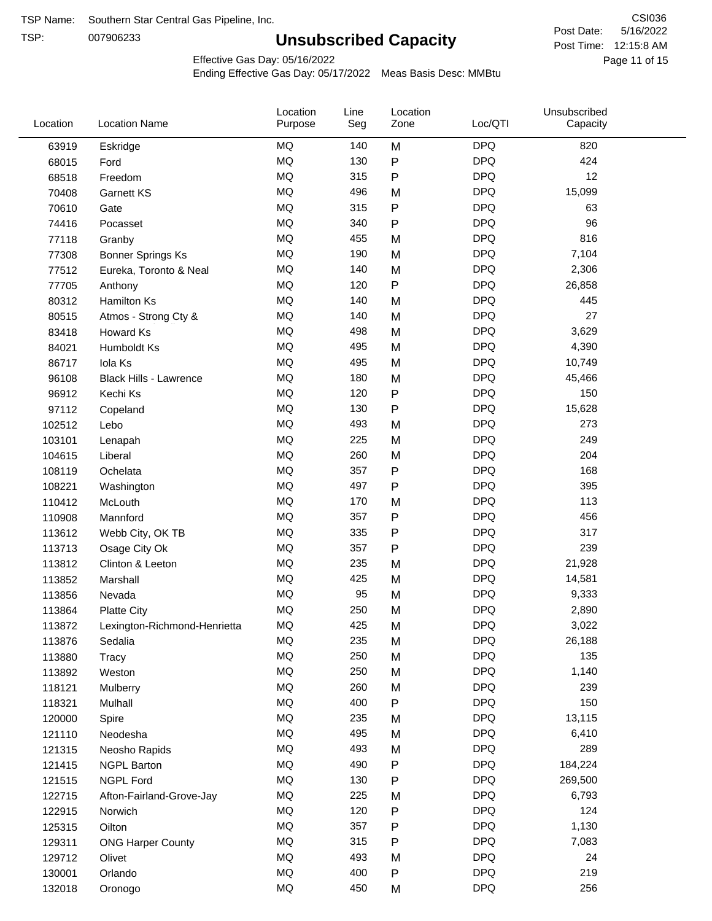TSP:

# **Unsubscribed Capacity**

5/16/2022 Page 11 of 15 Post Time: 12:15:8 AM CSI036 Post Date:

Effective Gas Day: 05/16/2022

| Location | <b>Location Name</b>          | Location<br>Purpose | Line<br>Seg | Location<br>Zone | Loc/QTI    | Unsubscribed<br>Capacity |  |
|----------|-------------------------------|---------------------|-------------|------------------|------------|--------------------------|--|
| 63919    | Eskridge                      | <b>MQ</b>           | 140         | M                | <b>DPQ</b> | 820                      |  |
| 68015    | Ford                          | MQ                  | 130         | ${\sf P}$        | <b>DPQ</b> | 424                      |  |
| 68518    | Freedom                       | MQ                  | 315         | ${\sf P}$        | <b>DPQ</b> | 12                       |  |
| 70408    | <b>Garnett KS</b>             | <b>MQ</b>           | 496         | M                | <b>DPQ</b> | 15,099                   |  |
| 70610    | Gate                          | <b>MQ</b>           | 315         | $\sf P$          | <b>DPQ</b> | 63                       |  |
| 74416    | Pocasset                      | <b>MQ</b>           | 340         | $\mathsf{P}$     | <b>DPQ</b> | 96                       |  |
| 77118    | Granby                        | MQ                  | 455         | M                | <b>DPQ</b> | 816                      |  |
| 77308    | <b>Bonner Springs Ks</b>      | <b>MQ</b>           | 190         | M                | <b>DPQ</b> | 7,104                    |  |
| 77512    | Eureka, Toronto & Neal        | <b>MQ</b>           | 140         | M                | <b>DPQ</b> | 2,306                    |  |
| 77705    | Anthony                       | <b>MQ</b>           | 120         | $\sf P$          | <b>DPQ</b> | 26,858                   |  |
| 80312    | Hamilton Ks                   | <b>MQ</b>           | 140         | M                | <b>DPQ</b> | 445                      |  |
| 80515    | Atmos - Strong Cty &          | MQ                  | 140         | M                | <b>DPQ</b> | 27                       |  |
| 83418    | Howard Ks                     | MQ                  | 498         | M                | <b>DPQ</b> | 3,629                    |  |
| 84021    | Humboldt Ks                   | <b>MQ</b>           | 495         | M                | <b>DPQ</b> | 4,390                    |  |
| 86717    | Iola Ks                       | <b>MQ</b>           | 495         | M                | <b>DPQ</b> | 10,749                   |  |
| 96108    | <b>Black Hills - Lawrence</b> | MQ                  | 180         | M                | <b>DPQ</b> | 45,466                   |  |
| 96912    | Kechi Ks                      | <b>MQ</b>           | 120         | ${\sf P}$        | <b>DPQ</b> | 150                      |  |
| 97112    | Copeland                      | <b>MQ</b>           | 130         | P                | <b>DPQ</b> | 15,628                   |  |
| 102512   | Lebo                          | <b>MQ</b>           | 493         | M                | <b>DPQ</b> | 273                      |  |
| 103101   | Lenapah                       | <b>MQ</b>           | 225         | M                | <b>DPQ</b> | 249                      |  |
| 104615   | Liberal                       | MQ                  | 260         | M                | <b>DPQ</b> | 204                      |  |
| 108119   | Ochelata                      | <b>MQ</b>           | 357         | ${\sf P}$        | <b>DPQ</b> | 168                      |  |
| 108221   | Washington                    | <b>MQ</b>           | 497         | $\mathsf{P}$     | <b>DPQ</b> | 395                      |  |
| 110412   | McLouth                       | <b>MQ</b>           | 170         | M                | <b>DPQ</b> | 113                      |  |
| 110908   | Mannford                      | <b>MQ</b>           | 357         | Ρ                | <b>DPQ</b> | 456                      |  |
| 113612   | Webb City, OK TB              | <b>MQ</b>           | 335         | $\mathsf{P}$     | <b>DPQ</b> | 317                      |  |
| 113713   | Osage City Ok                 | <b>MQ</b>           | 357         | P                | <b>DPQ</b> | 239                      |  |
| 113812   | Clinton & Leeton              | MQ                  | 235         | M                | <b>DPQ</b> | 21,928                   |  |
| 113852   | Marshall                      | MQ                  | 425         | M                | <b>DPQ</b> | 14,581                   |  |
| 113856   | Nevada                        | MQ                  | 95          | M                | <b>DPQ</b> | 9,333                    |  |
| 113864   | <b>Platte City</b>            | MQ                  | 250         | M                | <b>DPQ</b> | 2,890                    |  |
| 113872   | Lexington-Richmond-Henrietta  | MQ                  | 425         | M                | <b>DPQ</b> | 3,022                    |  |
| 113876   | Sedalia                       | ΜQ                  | 235         | M                | <b>DPQ</b> | 26,188                   |  |
| 113880   | Tracy                         | MQ                  | 250         | M                | <b>DPQ</b> | 135                      |  |
| 113892   | Weston                        | MQ                  | 250         | M                | <b>DPQ</b> | 1,140                    |  |
| 118121   | Mulberry                      | MQ                  | 260         | M                | <b>DPQ</b> | 239                      |  |
| 118321   | Mulhall                       | MQ                  | 400         | ${\sf P}$        | <b>DPQ</b> | 150                      |  |
| 120000   | Spire                         | MQ                  | 235         | M                | <b>DPQ</b> | 13,115                   |  |
| 121110   | Neodesha                      | MQ                  | 495         | M                | <b>DPQ</b> | 6,410                    |  |
| 121315   | Neosho Rapids                 | MQ                  | 493         | M                | <b>DPQ</b> | 289                      |  |
| 121415   | <b>NGPL Barton</b>            | MQ                  | 490         | P                | <b>DPQ</b> | 184,224                  |  |
| 121515   | <b>NGPL Ford</b>              | MQ                  | 130         | ${\sf P}$        | <b>DPQ</b> | 269,500                  |  |
| 122715   | Afton-Fairland-Grove-Jay      | MQ                  | 225         | M                | <b>DPQ</b> | 6,793                    |  |
| 122915   | Norwich                       | MQ                  | 120         | ${\sf P}$        | <b>DPQ</b> | 124                      |  |
| 125315   | Oilton                        | MQ                  | 357         | ${\sf P}$        | <b>DPQ</b> | 1,130                    |  |
| 129311   | <b>ONG Harper County</b>      | MQ                  | 315         | P                | <b>DPQ</b> | 7,083                    |  |
| 129712   | Olivet                        | MQ                  | 493         | M                | <b>DPQ</b> | 24                       |  |
| 130001   | Orlando                       | MQ                  | 400         | P                | <b>DPQ</b> | 219                      |  |
| 132018   | Oronogo                       | $\sf{MQ}$           | 450         | M                | <b>DPQ</b> | 256                      |  |
|          |                               |                     |             |                  |            |                          |  |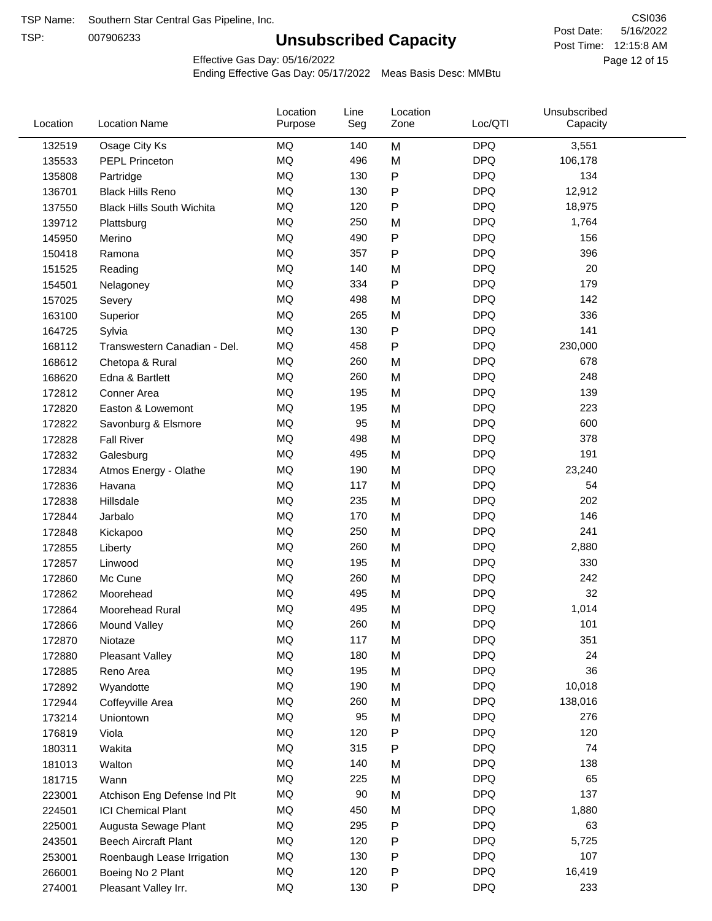TSP:

# **Unsubscribed Capacity**

5/16/2022 Page 12 of 15 Post Time: 12:15:8 AM CSI036 Post Date:

Effective Gas Day: 05/16/2022

| Location | <b>Location Name</b>             | Location<br>Purpose | Line<br>Seg | Location<br>Zone | Loc/QTI    | Unsubscribed<br>Capacity |  |
|----------|----------------------------------|---------------------|-------------|------------------|------------|--------------------------|--|
| 132519   | Osage City Ks                    | MQ                  | 140         | M                | <b>DPQ</b> | 3,551                    |  |
| 135533   | <b>PEPL Princeton</b>            | MQ                  | 496         | M                | <b>DPQ</b> | 106,178                  |  |
| 135808   | Partridge                        | MQ                  | 130         | P                | <b>DPQ</b> | 134                      |  |
| 136701   | <b>Black Hills Reno</b>          | <b>MQ</b>           | 130         | Ρ                | <b>DPQ</b> | 12,912                   |  |
| 137550   | <b>Black Hills South Wichita</b> | <b>MQ</b>           | 120         | Ρ                | <b>DPQ</b> | 18,975                   |  |
| 139712   | Plattsburg                       | <b>MQ</b>           | 250         | M                | <b>DPQ</b> | 1,764                    |  |
| 145950   | Merino                           | <b>MQ</b>           | 490         | Ρ                | <b>DPQ</b> | 156                      |  |
| 150418   | Ramona                           | <b>MQ</b>           | 357         | P                | <b>DPQ</b> | 396                      |  |
| 151525   | Reading                          | MQ                  | 140         | M                | <b>DPQ</b> | 20                       |  |
| 154501   | Nelagoney                        | <b>MQ</b>           | 334         | $\mathsf{P}$     | <b>DPQ</b> | 179                      |  |
| 157025   | Severy                           | <b>MQ</b>           | 498         | M                | <b>DPQ</b> | 142                      |  |
| 163100   | Superior                         | <b>MQ</b>           | 265         | M                | <b>DPQ</b> | 336                      |  |
| 164725   | Sylvia                           | <b>MQ</b>           | 130         | P                | <b>DPQ</b> | 141                      |  |
| 168112   | Transwestern Canadian - Del.     | <b>MQ</b>           | 458         | Ρ                | <b>DPQ</b> | 230,000                  |  |
| 168612   | Chetopa & Rural                  | <b>MQ</b>           | 260         | M                | <b>DPQ</b> | 678                      |  |
| 168620   | Edna & Bartlett                  | <b>MQ</b>           | 260         | M                | <b>DPQ</b> | 248                      |  |
| 172812   | Conner Area                      | MQ                  | 195         | M                | <b>DPQ</b> | 139                      |  |
| 172820   | Easton & Lowemont                | MQ                  | 195         | M                | <b>DPQ</b> | 223                      |  |
| 172822   | Savonburg & Elsmore              | <b>MQ</b>           | 95          | M                | <b>DPQ</b> | 600                      |  |
| 172828   | <b>Fall River</b>                | <b>MQ</b>           | 498         | M                | <b>DPQ</b> | 378                      |  |
| 172832   | Galesburg                        | <b>MQ</b>           | 495         | M                | <b>DPQ</b> | 191                      |  |
| 172834   | Atmos Energy - Olathe            | <b>MQ</b>           | 190         | M                | <b>DPQ</b> | 23,240                   |  |
| 172836   | Havana                           | <b>MQ</b>           | 117         | M                | <b>DPQ</b> | 54                       |  |
| 172838   | Hillsdale                        | <b>MQ</b>           | 235         | M                | <b>DPQ</b> | 202                      |  |
| 172844   | Jarbalo                          | <b>MQ</b>           | 170         | M                | <b>DPQ</b> | 146                      |  |
| 172848   | Kickapoo                         | <b>MQ</b>           | 250         | M                | <b>DPQ</b> | 241                      |  |
| 172855   | Liberty                          | <b>MQ</b>           | 260         | M                | <b>DPQ</b> | 2,880                    |  |
| 172857   | Linwood                          | <b>MQ</b>           | 195         | M                | <b>DPQ</b> | 330                      |  |
| 172860   | Mc Cune                          | <b>MQ</b>           | 260         | M                | <b>DPQ</b> | 242                      |  |
| 172862   | Moorehead                        | <b>MQ</b>           | 495         | M                | <b>DPQ</b> | 32                       |  |
| 172864   | Moorehead Rural                  | <b>MQ</b>           | 495         | M                | <b>DPQ</b> | 1,014                    |  |
| 172866   | Mound Valley                     | MQ                  | 260         | M                | <b>DPQ</b> | 101                      |  |
| 172870   | Niotaze                          | MQ                  | 117         | M                | <b>DPQ</b> | 351                      |  |
| 172880   | Pleasant Valley                  | <b>MQ</b>           | 180         | M                | <b>DPQ</b> | 24                       |  |
| 172885   | Reno Area                        | MQ                  | 195         | M                | <b>DPQ</b> | 36                       |  |
| 172892   | Wyandotte                        | <b>MQ</b>           | 190         | M                | <b>DPQ</b> | 10,018                   |  |
| 172944   | Coffeyville Area                 | <b>MQ</b>           | 260         | M                | <b>DPQ</b> | 138,016                  |  |
| 173214   | Uniontown                        | <b>MQ</b>           | 95          | M                | <b>DPQ</b> | 276                      |  |
| 176819   | Viola                            | <b>MQ</b>           | 120         | Ρ                | <b>DPQ</b> | 120                      |  |
| 180311   | Wakita                           | <b>MQ</b>           | 315         | Ρ                | <b>DPQ</b> | 74                       |  |
| 181013   | Walton                           | MQ                  | 140         | M                | <b>DPQ</b> | 138                      |  |
| 181715   | Wann                             | <b>MQ</b>           | 225         | M                | <b>DPQ</b> | 65                       |  |
| 223001   | Atchison Eng Defense Ind Plt     | <b>MQ</b>           | 90          | M                | <b>DPQ</b> | 137                      |  |
| 224501   | <b>ICI Chemical Plant</b>        | <b>MQ</b>           | 450         | M                | <b>DPQ</b> | 1,880                    |  |
| 225001   | Augusta Sewage Plant             | MQ                  | 295         | Ρ                | <b>DPQ</b> | 63                       |  |
| 243501   | <b>Beech Aircraft Plant</b>      | MQ                  | 120         | Ρ                | <b>DPQ</b> | 5,725                    |  |
| 253001   | Roenbaugh Lease Irrigation       | MQ                  | 130         | Ρ                | <b>DPQ</b> | 107                      |  |
| 266001   | Boeing No 2 Plant                | MQ                  | 120         | Ρ                | <b>DPQ</b> | 16,419                   |  |
| 274001   | Pleasant Valley Irr.             | <b>MQ</b>           | 130         | Ρ                | <b>DPQ</b> | 233                      |  |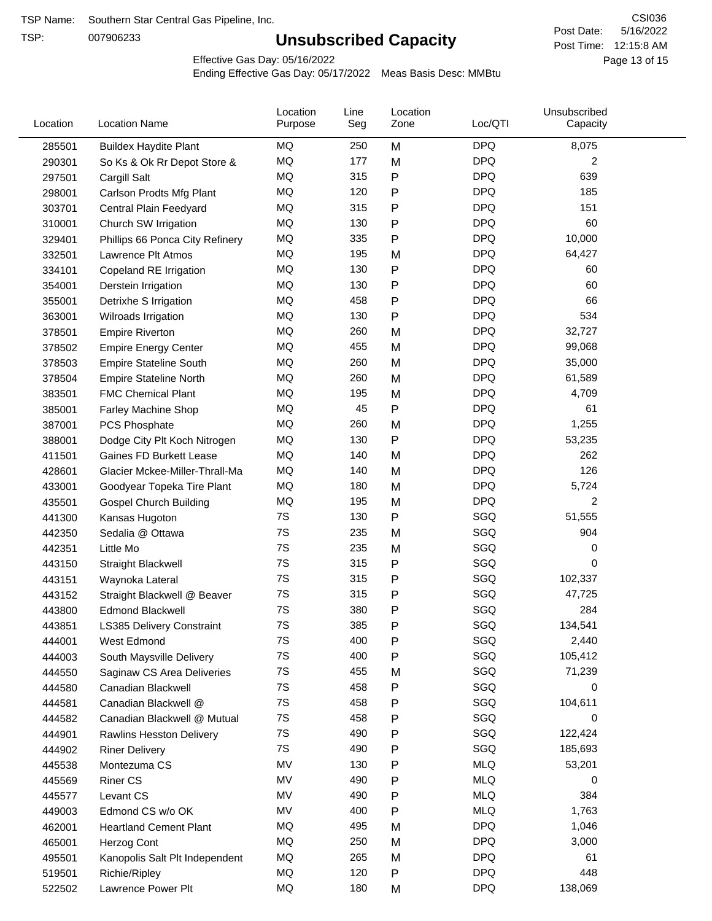TSP:

# **Unsubscribed Capacity**

5/16/2022 Page 13 of 15 Post Time: 12:15:8 AM CSI036 Post Date:

Effective Gas Day: 05/16/2022

| Location | <b>Location Name</b>            | Location<br>Purpose | Line<br>Seg | Location<br>Zone | Loc/QTI    | Unsubscribed<br>Capacity |
|----------|---------------------------------|---------------------|-------------|------------------|------------|--------------------------|
| 285501   | <b>Buildex Haydite Plant</b>    | MQ                  | 250         | M                | <b>DPQ</b> | 8,075                    |
| 290301   | So Ks & Ok Rr Depot Store &     | MQ                  | 177         | M                | <b>DPQ</b> | 2                        |
| 297501   | Cargill Salt                    | MQ                  | 315         | Ρ                | <b>DPQ</b> | 639                      |
| 298001   | Carlson Prodts Mfg Plant        | MQ                  | 120         | Ρ                | <b>DPQ</b> | 185                      |
| 303701   | Central Plain Feedyard          | <b>MQ</b>           | 315         | Ρ                | <b>DPQ</b> | 151                      |
| 310001   | Church SW Irrigation            | MQ                  | 130         | Ρ                | <b>DPQ</b> | 60                       |
| 329401   | Phillips 66 Ponca City Refinery | MQ                  | 335         | P                | <b>DPQ</b> | 10,000                   |
| 332501   | Lawrence Plt Atmos              | MQ                  | 195         | M                | <b>DPQ</b> | 64,427                   |
| 334101   | Copeland RE Irrigation          | MQ                  | 130         | P                | <b>DPQ</b> | 60                       |
| 354001   | Derstein Irrigation             | MQ                  | 130         | Ρ                | <b>DPQ</b> | 60                       |
| 355001   | Detrixhe S Irrigation           | MQ                  | 458         | P                | <b>DPQ</b> | 66                       |
| 363001   | Wilroads Irrigation             | MQ                  | 130         | Ρ                | <b>DPQ</b> | 534                      |
| 378501   | <b>Empire Riverton</b>          | MQ                  | 260         | M                | <b>DPQ</b> | 32,727                   |
| 378502   | <b>Empire Energy Center</b>     | <b>MQ</b>           | 455         | M                | <b>DPQ</b> | 99,068                   |
| 378503   | <b>Empire Stateline South</b>   | MQ                  | 260         | M                | <b>DPQ</b> | 35,000                   |
| 378504   | <b>Empire Stateline North</b>   | MQ                  | 260         | M                | <b>DPQ</b> | 61,589                   |
| 383501   | <b>FMC Chemical Plant</b>       | MQ                  | 195         | M                | <b>DPQ</b> | 4,709                    |
| 385001   | Farley Machine Shop             | MQ                  | 45          | P                | <b>DPQ</b> | 61                       |
| 387001   | PCS Phosphate                   | MQ                  | 260         | M                | <b>DPQ</b> | 1,255                    |
| 388001   | Dodge City Plt Koch Nitrogen    | MQ                  | 130         | Ρ                | <b>DPQ</b> | 53,235                   |
| 411501   | Gaines FD Burkett Lease         | MQ                  | 140         | M                | <b>DPQ</b> | 262                      |
| 428601   | Glacier Mckee-Miller-Thrall-Ma  | MQ                  | 140         | M                | <b>DPQ</b> | 126                      |
| 433001   | Goodyear Topeka Tire Plant      | MQ                  | 180         | M                | <b>DPQ</b> | 5,724                    |
| 435501   | <b>Gospel Church Building</b>   | MQ                  | 195         | M                | <b>DPQ</b> | 2                        |
| 441300   | Kansas Hugoton                  | 7S                  | 130         | P                | SGQ        | 51,555                   |
| 442350   | Sedalia @ Ottawa                | 7S                  | 235         | M                | SGQ        | 904                      |
| 442351   | Little Mo                       | 7S                  | 235         | M                | SGQ        | 0                        |
| 443150   | <b>Straight Blackwell</b>       | 7S                  | 315         | P                | SGQ        | 0                        |
| 443151   | Waynoka Lateral                 | 7S                  | 315         | Ρ                | SGQ        | 102,337                  |
| 443152   | Straight Blackwell @ Beaver     | 7S                  | 315         | Ρ                | SGQ        | 47,725                   |
| 443800   | <b>Edmond Blackwell</b>         | 7S                  | 380         | Ρ                | SGQ        | 284                      |
| 443851   | LS385 Delivery Constraint       | 7S                  | 385         | Þ                | SGQ        | 134,541                  |
| 444001   | West Edmond                     | 7S                  | 400         | Ρ                | SGQ        | 2,440                    |
| 444003   | South Maysville Delivery        | 7S                  | 400         | P                | SGQ        | 105,412                  |
| 444550   | Saginaw CS Area Deliveries      | 7S                  | 455         | M                | SGQ        | 71,239                   |
| 444580   | Canadian Blackwell              | 7S                  | 458         | Ρ                | SGQ        | 0                        |
| 444581   | Canadian Blackwell @            | 7S                  | 458         | Ρ                | SGQ        | 104,611                  |
| 444582   | Canadian Blackwell @ Mutual     | 7S                  | 458         | Ρ                | SGQ        | 0                        |
| 444901   | Rawlins Hesston Delivery        | 7S                  | 490         | Ρ                | SGQ        | 122,424                  |
| 444902   | <b>Riner Delivery</b>           | 7S                  | 490         | Ρ                | SGQ        | 185,693                  |
| 445538   | Montezuma CS                    | MV                  | 130         | Ρ                | <b>MLQ</b> | 53,201                   |
| 445569   | <b>Riner CS</b>                 | MV                  | 490         | Ρ                | <b>MLQ</b> | 0                        |
| 445577   | Levant CS                       | MV                  | 490         | Ρ                | <b>MLQ</b> | 384                      |
| 449003   | Edmond CS w/o OK                | MV                  | 400         | Ρ                | <b>MLQ</b> | 1,763                    |
| 462001   | <b>Heartland Cement Plant</b>   | MQ                  | 495         | M                | <b>DPQ</b> | 1,046                    |
| 465001   | Herzog Cont                     | MQ                  | 250         | M                | <b>DPQ</b> | 3,000                    |
| 495501   | Kanopolis Salt Plt Independent  | MQ                  | 265         | M                | <b>DPQ</b> | 61                       |
| 519501   | Richie/Ripley                   | MQ                  | 120         | Ρ                | <b>DPQ</b> | 448                      |
| 522502   | Lawrence Power Plt              | MQ                  | 180         | M                | <b>DPQ</b> | 138,069                  |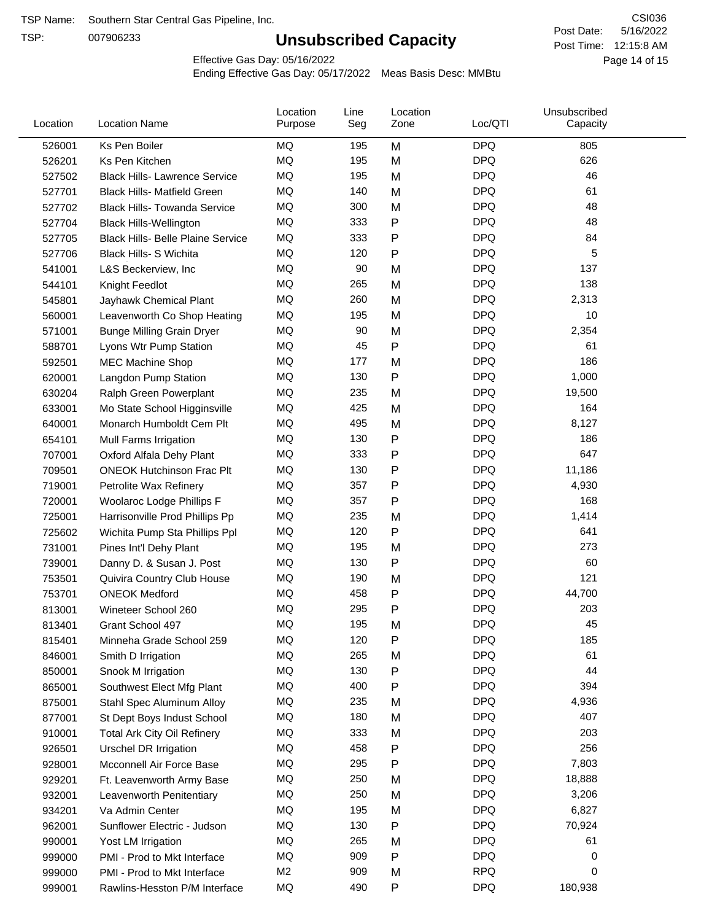TSP:

# **Unsubscribed Capacity**

5/16/2022 Page 14 of 15 Post Time: 12:15:8 AM CSI036 Post Date:

Effective Gas Day: 05/16/2022

| Location | <b>Location Name</b>                     | Location<br>Purpose | Line<br>Seg | Location<br>Zone | Loc/QTI    | Unsubscribed<br>Capacity |  |
|----------|------------------------------------------|---------------------|-------------|------------------|------------|--------------------------|--|
| 526001   | Ks Pen Boiler                            | MQ                  | 195         | M                | <b>DPQ</b> | 805                      |  |
| 526201   | Ks Pen Kitchen                           | MQ                  | 195         | M                | <b>DPQ</b> | 626                      |  |
| 527502   | <b>Black Hills- Lawrence Service</b>     | MQ                  | 195         | M                | <b>DPQ</b> | 46                       |  |
| 527701   | <b>Black Hills- Matfield Green</b>       | <b>MQ</b>           | 140         | M                | <b>DPQ</b> | 61                       |  |
| 527702   | <b>Black Hills- Towanda Service</b>      | MQ                  | 300         | M                | <b>DPQ</b> | 48                       |  |
| 527704   | <b>Black Hills-Wellington</b>            | <b>MQ</b>           | 333         | Ρ                | <b>DPQ</b> | 48                       |  |
| 527705   | <b>Black Hills- Belle Plaine Service</b> | MQ                  | 333         | Ρ                | <b>DPQ</b> | 84                       |  |
| 527706   | Black Hills- S Wichita                   | MQ                  | 120         | Ρ                | <b>DPQ</b> | 5                        |  |
| 541001   | L&S Beckerview, Inc                      | MQ                  | 90          | M                | <b>DPQ</b> | 137                      |  |
| 544101   | Knight Feedlot                           | MQ                  | 265         | M                | <b>DPQ</b> | 138                      |  |
| 545801   | Jayhawk Chemical Plant                   | MQ                  | 260         | M                | <b>DPQ</b> | 2,313                    |  |
| 560001   | Leavenworth Co Shop Heating              | MQ                  | 195         | M                | <b>DPQ</b> | 10                       |  |
| 571001   | <b>Bunge Milling Grain Dryer</b>         | <b>MQ</b>           | 90          | M                | <b>DPQ</b> | 2,354                    |  |
| 588701   | Lyons Wtr Pump Station                   | <b>MQ</b>           | 45          | P                | <b>DPQ</b> | 61                       |  |
| 592501   | <b>MEC Machine Shop</b>                  | MQ                  | 177         | M                | <b>DPQ</b> | 186                      |  |
| 620001   | Langdon Pump Station                     | MQ                  | 130         | P                | <b>DPQ</b> | 1,000                    |  |
| 630204   | Ralph Green Powerplant                   | MQ                  | 235         | M                | <b>DPQ</b> | 19,500                   |  |
| 633001   | Mo State School Higginsville             | MQ                  | 425         | M                | <b>DPQ</b> | 164                      |  |
| 640001   | Monarch Humboldt Cem Plt                 | MQ                  | 495         | M                | <b>DPQ</b> | 8,127                    |  |
| 654101   | Mull Farms Irrigation                    | MQ                  | 130         | Ρ                | <b>DPQ</b> | 186                      |  |
| 707001   | Oxford Alfala Dehy Plant                 | MQ                  | 333         | Ρ                | <b>DPQ</b> | 647                      |  |
| 709501   | <b>ONEOK Hutchinson Frac Plt</b>         | <b>MQ</b>           | 130         | Ρ                | <b>DPQ</b> | 11,186                   |  |
| 719001   | Petrolite Wax Refinery                   | MQ                  | 357         | Ρ                | <b>DPQ</b> | 4,930                    |  |
| 720001   | Woolaroc Lodge Phillips F                | MQ                  | 357         | Ρ                | <b>DPQ</b> | 168                      |  |
| 725001   | Harrisonville Prod Phillips Pp           | MQ                  | 235         | M                | <b>DPQ</b> | 1,414                    |  |
| 725602   | Wichita Pump Sta Phillips Ppl            | MQ                  | 120         | Ρ                | <b>DPQ</b> | 641                      |  |
| 731001   | Pines Int'l Dehy Plant                   | MQ                  | 195         | M                | <b>DPQ</b> | 273                      |  |
| 739001   | Danny D. & Susan J. Post                 | MQ                  | 130         | P                | <b>DPQ</b> | 60                       |  |
| 753501   | Quivira Country Club House               | MQ                  | 190         | M                | <b>DPQ</b> | 121                      |  |
| 753701   | <b>ONEOK Medford</b>                     | MQ                  | 458         | Ρ                | <b>DPQ</b> | 44,700                   |  |
| 813001   | Wineteer School 260                      | MQ                  | 295         | P                | <b>DPQ</b> | 203                      |  |
| 813401   | Grant School 497                         | MQ                  | 195         | M                | <b>DPQ</b> | 45                       |  |
| 815401   | Minneha Grade School 259                 | MQ                  | 120         | Ρ                | <b>DPQ</b> | 185                      |  |
| 846001   | Smith D Irrigation                       | MQ                  | 265         | M                | <b>DPQ</b> | 61                       |  |
| 850001   | Snook M Irrigation                       | MQ                  | 130         | Ρ                | <b>DPQ</b> | 44                       |  |
| 865001   | Southwest Elect Mfg Plant                | MQ                  | 400         | P                | <b>DPQ</b> | 394                      |  |
| 875001   | Stahl Spec Aluminum Alloy                | MQ                  | 235         | M                | <b>DPQ</b> | 4,936                    |  |
| 877001   | St Dept Boys Indust School               | MQ                  | 180         | M                | <b>DPQ</b> | 407                      |  |
| 910001   | <b>Total Ark City Oil Refinery</b>       | MQ                  | 333         | M                | <b>DPQ</b> | 203                      |  |
| 926501   | <b>Urschel DR Irrigation</b>             | MQ                  | 458         | Ρ                | <b>DPQ</b> | 256                      |  |
| 928001   | Mcconnell Air Force Base                 | MQ                  | 295         | Ρ                | <b>DPQ</b> | 7,803                    |  |
| 929201   | Ft. Leavenworth Army Base                | MQ                  | 250         | M                | <b>DPQ</b> | 18,888                   |  |
| 932001   | Leavenworth Penitentiary                 | MQ                  | 250         | M                | <b>DPQ</b> | 3,206                    |  |
| 934201   | Va Admin Center                          | MQ                  | 195         | M                | <b>DPQ</b> | 6,827                    |  |
| 962001   | Sunflower Electric - Judson              | MQ                  | 130         | Ρ                | <b>DPQ</b> | 70,924                   |  |
| 990001   | Yost LM Irrigation                       | MQ                  | 265         | M                | <b>DPQ</b> | 61                       |  |
| 999000   | PMI - Prod to Mkt Interface              | MQ                  | 909         | Ρ                | <b>DPQ</b> | 0                        |  |
| 999000   | PMI - Prod to Mkt Interface              | M <sub>2</sub>      | 909         | M                | <b>RPQ</b> | 0                        |  |
| 999001   | Rawlins-Hesston P/M Interface            | MQ                  | 490         | Ρ                | <b>DPQ</b> | 180,938                  |  |